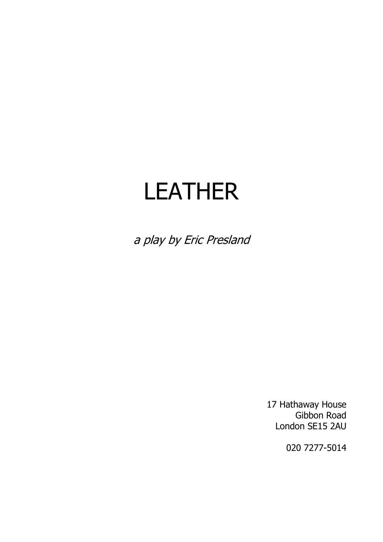# LEATHER

a play by Eric Presland

17 Hathaway House Gibbon Road London SE15 2AU

020 7277-5014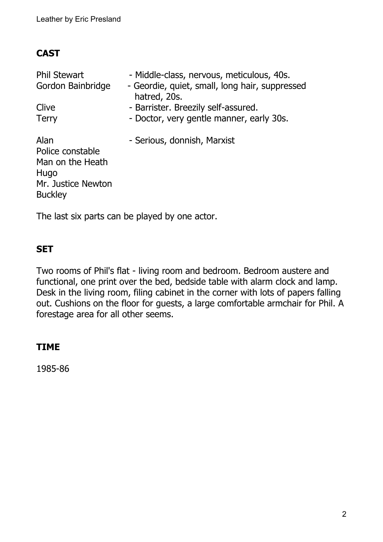## **CAST**

| <b>Phil Stewart</b><br>Gordon Bainbridge                                                     | - Middle-class, nervous, meticulous, 40s.<br>- Geordie, quiet, small, long hair, suppressed<br>hatred, 20s. |
|----------------------------------------------------------------------------------------------|-------------------------------------------------------------------------------------------------------------|
| Clive                                                                                        | - Barrister. Breezily self-assured.                                                                         |
| <b>Terry</b>                                                                                 | - Doctor, very gentle manner, early 30s.                                                                    |
| Alan<br>Police constable<br>Man on the Heath<br>Hugo<br>Mr. Justice Newton<br><b>Buckley</b> | - Serious, donnish, Marxist                                                                                 |

The last six parts can be played by one actor.

### **SET**

Two rooms of Phil's flat - living room and bedroom. Bedroom austere and functional, one print over the bed, bedside table with alarm clock and lamp. Desk in the living room, filing cabinet in the corner with lots of papers falling out. Cushions on the floor for guests, a large comfortable armchair for Phil. A forestage area for all other seems.

## **TIME**

1985-86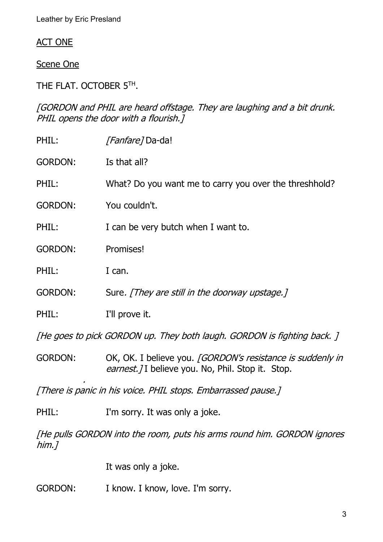#### ACT ONE

Scene One

THE FLAT. OCTOBER 5TH .

[GORDON and PHIL are heard offstage. They are laughing and a bit drunk. PHIL opens the door with a flourish.]

| PHIL:                                                         | <i>[Fanfare]</i> Da-da!                                                                                        |  |
|---------------------------------------------------------------|----------------------------------------------------------------------------------------------------------------|--|
| <b>GORDON:</b>                                                | Is that all?                                                                                                   |  |
| PHIL:                                                         | What? Do you want me to carry you over the threshhold?                                                         |  |
| <b>GORDON:</b>                                                | You couldn't.                                                                                                  |  |
| PHIL:                                                         | I can be very butch when I want to.                                                                            |  |
| <b>GORDON:</b>                                                | Promises!                                                                                                      |  |
| PHIL:                                                         | I can.                                                                                                         |  |
| <b>GORDON:</b>                                                | Sure. [They are still in the doorway upstage.]                                                                 |  |
| PHIL:                                                         | I'll prove it.                                                                                                 |  |
|                                                               | [He goes to pick GORDON up. They both laugh. GORDON is fighting back. ]                                        |  |
| <b>GORDON:</b>                                                | OK, OK. I believe you. [GORDON's resistance is suddenly in<br>earnest. I believe you. No, Phil. Stop it. Stop. |  |
| [There is panic in his voice. PHIL stops. Embarrassed pause.] |                                                                                                                |  |

PHIL: I'm sorry. It was only a joke.

[He pulls GORDON into the room, puts his arms round him. GORDON ignores him.]

It was only a joke.

GORDON: I know. I know, love. I'm sorry.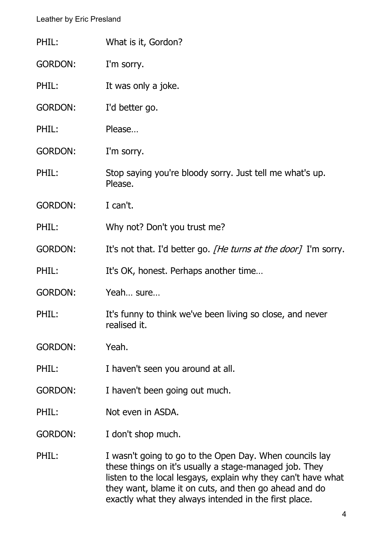| PHIL:          | What is it, Gordon?                                                                                                                                                                                                                                                                                  |
|----------------|------------------------------------------------------------------------------------------------------------------------------------------------------------------------------------------------------------------------------------------------------------------------------------------------------|
| <b>GORDON:</b> | I'm sorry.                                                                                                                                                                                                                                                                                           |
| PHIL:          | It was only a joke.                                                                                                                                                                                                                                                                                  |
| <b>GORDON:</b> | I'd better go.                                                                                                                                                                                                                                                                                       |
| PHIL:          | Please                                                                                                                                                                                                                                                                                               |
| <b>GORDON:</b> | I'm sorry.                                                                                                                                                                                                                                                                                           |
| PHIL:          | Stop saying you're bloody sorry. Just tell me what's up.<br>Please.                                                                                                                                                                                                                                  |
| <b>GORDON:</b> | I can't.                                                                                                                                                                                                                                                                                             |
| PHIL:          | Why not? Don't you trust me?                                                                                                                                                                                                                                                                         |
| <b>GORDON:</b> | It's not that. I'd better go. [He turns at the door] I'm sorry.                                                                                                                                                                                                                                      |
| PHIL:          | It's OK, honest. Perhaps another time                                                                                                                                                                                                                                                                |
| <b>GORDON:</b> | Yeah sure                                                                                                                                                                                                                                                                                            |
| PHIL:          | It's funny to think we've been living so close, and never<br>realised it.                                                                                                                                                                                                                            |
| <b>GORDON:</b> | Yeah.                                                                                                                                                                                                                                                                                                |
| PHIL:          | I haven't seen you around at all.                                                                                                                                                                                                                                                                    |
| <b>GORDON:</b> | I haven't been going out much.                                                                                                                                                                                                                                                                       |
| PHIL:          | Not even in ASDA.                                                                                                                                                                                                                                                                                    |
| <b>GORDON:</b> | I don't shop much.                                                                                                                                                                                                                                                                                   |
| PHIL:          | I wasn't going to go to the Open Day. When councils lay<br>these things on it's usually a stage-managed job. They<br>listen to the local lesgays, explain why they can't have what<br>they want, blame it on cuts, and then go ahead and do<br>exactly what they always intended in the first place. |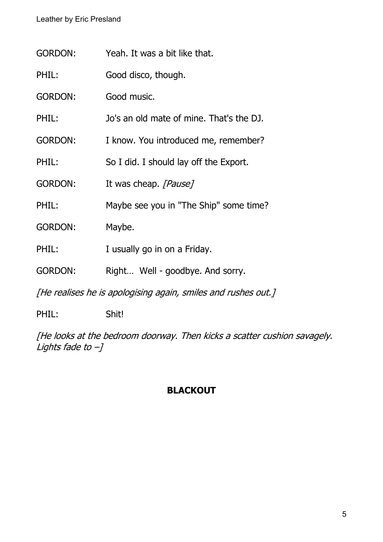| <b>GORDON:</b> | Yeah. It was a bit like that.                                 |
|----------------|---------------------------------------------------------------|
| PHIL:          | Good disco, though.                                           |
| <b>GORDON:</b> | Good music.                                                   |
| PHIL:          | Jo's an old mate of mine. That's the DJ.                      |
| <b>GORDON:</b> | I know. You introduced me, remember?                          |
| PHIL:          | So I did. I should lay off the Export.                        |
| <b>GORDON:</b> | It was cheap. [Pause]                                         |
| PHIL:          | Maybe see you in "The Ship" some time?                        |
| <b>GORDON:</b> | Maybe.                                                        |
| PHIL:          | I usually go in on a Friday.                                  |
| <b>GORDON:</b> | Right Well - goodbye. And sorry.                              |
|                | [He realises he is apologising again, smiles and rushes out.] |

PHIL: Shit!

[He looks at the bedroom doorway. Then kicks a scatter cushion savagely. Lights fade to –]

## **BLACKOUT**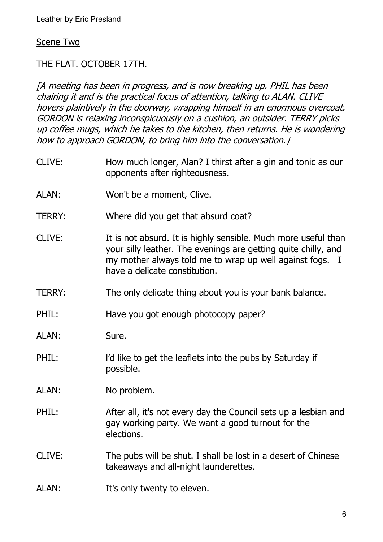#### Scene Two

THE FLAT. OCTOBER 17TH.

[A meeting has been in progress, and is now breaking up. PHIL has been chairing it and is the practical focus of attention, talking to ALAN. CLIVE hovers plaintively in the doorway, wrapping himself in an enormous overcoat. GORDON is relaxing inconspicuously on a cushion, an outsider. TERRY picks up coffee mugs, which he takes to the kitchen, then returns. He is wondering how to approach GORDON, to bring him into the conversation.]

- CLIVE: How much longer, Alan? I thirst after a gin and tonic as our opponents after righteousness.
- ALAN: Won't be a moment, Clive.
- TERRY: Where did you get that absurd coat?
- CLIVE: It is not absurd. It is highly sensible. Much more useful than your silly leather. The evenings are getting quite chilly, and my mother always told me to wrap up well against fogs. I have a delicate constitution.
- TERRY: The only delicate thing about you is your bank balance.

PHIL: Have you got enough photocopy paper?

- ALAN: Sure.
- PHIL: l'd like to get the leaflets into the pubs by Saturday if possible.
- ALAN: No problem.
- PHIL: After all, it's not every day the Council sets up a lesbian and gay working party. We want a good turnout for the elections.
- CLIVE: The pubs will be shut. I shall be lost in a desert of Chinese takeaways and all-night launderettes.
- ALAN: It's only twenty to eleven.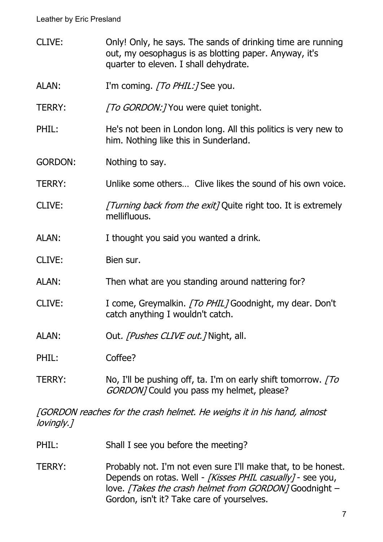CLIVE: Only! Only, he says. The sands of drinking time are running out, my oesophagus is as blotting paper. Anyway, it's quarter to eleven. I shall dehydrate. ALAN: I'm coming. [To PHIL:] See you. TERRY: [To GORDON: ] You were quiet tonight. PHIL: He's not been in London long. All this politics is very new to him. Nothing like this in Sunderland. GORDON: Nothing to say. TERRY: Unlike some others… Clive likes the sound of his own voice. CLIVE: [Turning back from the exit] Quite right too. It is extremely mellifluous. ALAN: I thought you said you wanted a drink. CLIVE: Bien sur. ALAN: Then what are you standing around nattering for? CLIVE: I come, Greymalkin. [To PHIL] Goodnight, my dear. Don't catch anything I wouldn't catch. ALAN: Out. *[Pushes CLIVE out.]* Night, all. PHIL: Coffee? TERRY: No, I'll be pushing off, ta. I'm on early shift tomorrow. To GORDON] Could you pass my helmet, please?

[GORDON reaches for the crash helmet. He weighs it in his hand, almost lovingly.]

- PHIL: Shall I see you before the meeting?
- TERRY: Probably not. I'm not even sure I'll make that, to be honest. Depends on rotas. Well - [Kisses PHIL casually] - see you, love. [Takes the crash helmet from GORDON] Goodnight -Gordon, isn't it? Take care of yourselves.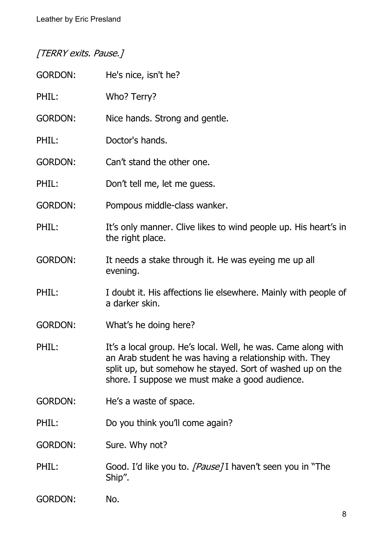# [TERRY exits. Pause.]

| <b>GORDON:</b> | He's nice, isn't he?                                                                                                                                                                                                                    |
|----------------|-----------------------------------------------------------------------------------------------------------------------------------------------------------------------------------------------------------------------------------------|
| PHIL:          | Who? Terry?                                                                                                                                                                                                                             |
| <b>GORDON:</b> | Nice hands. Strong and gentle.                                                                                                                                                                                                          |
| PHIL:          | Doctor's hands.                                                                                                                                                                                                                         |
| <b>GORDON:</b> | Can't stand the other one.                                                                                                                                                                                                              |
| PHIL:          | Don't tell me, let me guess.                                                                                                                                                                                                            |
| <b>GORDON:</b> | Pompous middle-class wanker.                                                                                                                                                                                                            |
| PHIL:          | It's only manner. Clive likes to wind people up. His heart's in<br>the right place.                                                                                                                                                     |
| <b>GORDON:</b> | It needs a stake through it. He was eyeing me up all<br>evening.                                                                                                                                                                        |
| PHIL:          | I doubt it. His affections lie elsewhere. Mainly with people of<br>a darker skin.                                                                                                                                                       |
| <b>GORDON:</b> | What's he doing here?                                                                                                                                                                                                                   |
| PHIL:          | It's a local group. He's local. Well, he was. Came along with<br>an Arab student he was having a relationship with. They<br>split up, but somehow he stayed. Sort of washed up on the<br>shore. I suppose we must make a good audience. |
| <b>GORDON:</b> | He's a waste of space.                                                                                                                                                                                                                  |
| PHIL:          | Do you think you'll come again?                                                                                                                                                                                                         |
| <b>GORDON:</b> | Sure. Why not?                                                                                                                                                                                                                          |
| PHIL:          | Good. I'd like you to. [Pause] I haven't seen you in "The<br>Ship".                                                                                                                                                                     |
| <b>GORDON:</b> | No.                                                                                                                                                                                                                                     |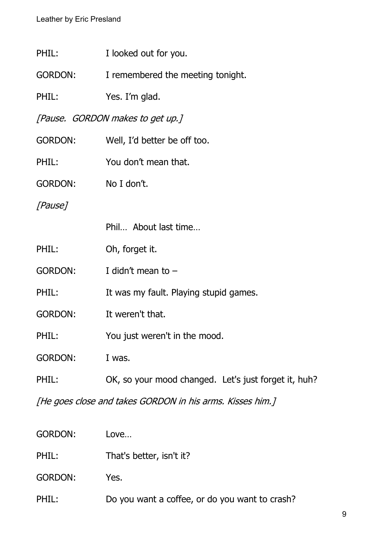| PHIL:               | I looked out for you.                                     |
|---------------------|-----------------------------------------------------------|
| <b>GORDON:</b>      | I remembered the meeting tonight.                         |
| PHIL:               | Yes. I'm glad.                                            |
|                     | [Pause. GORDON makes to get up.]                          |
| <b>GORDON:</b>      | Well, I'd better be off too.                              |
| PHIL:               | You don't mean that.                                      |
| GORDON: No I don't. |                                                           |
| [Pause]             |                                                           |
|                     | Phil About last time                                      |
| PHIL:               | Oh, forget it.                                            |
| <b>GORDON:</b>      | I didn't mean to $-$                                      |
| PHIL:               | It was my fault. Playing stupid games.                    |
| <b>GORDON:</b>      | It weren't that.                                          |
| PHIL:               | You just weren't in the mood.                             |
| <b>GORDON:</b>      | I was.                                                    |
| PHIL:               | OK, so your mood changed. Let's just forget it, huh?      |
|                     | [He goes close and takes GORDON in his arms. Kisses him.] |

| <b>GORDON:</b> | Love                                           |
|----------------|------------------------------------------------|
| PHIL:          | That's better, isn't it?                       |
| <b>GORDON:</b> | Yes.                                           |
| PHIL:          | Do you want a coffee, or do you want to crash? |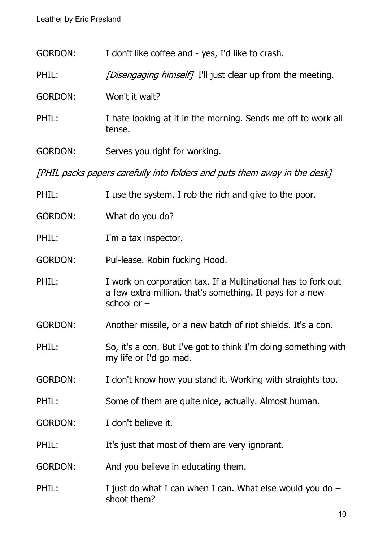| <b>GORDON:</b> | I don't like coffee and - yes, I'd like to crash. |  |
|----------------|---------------------------------------------------|--|
|----------------|---------------------------------------------------|--|

- PHIL: [Disengaging himself] I'll just clear up from the meeting.
- GORDON: Won't it wait?
- PHIL: I hate looking at it in the morning. Sends me off to work all tense.
- GORDON: Serves you right for working.

[PHIL packs papers carefully into folders and puts them away in the desk]

| PHIL:          | I use the system. I rob the rich and give to the poor.                                                                                     |
|----------------|--------------------------------------------------------------------------------------------------------------------------------------------|
| <b>GORDON:</b> | What do you do?                                                                                                                            |
| PHIL:          | I'm a tax inspector.                                                                                                                       |
| <b>GORDON:</b> | Pul-lease. Robin fucking Hood.                                                                                                             |
| PHIL:          | I work on corporation tax. If a Multinational has to fork out<br>a few extra million, that's something. It pays for a new<br>school or $-$ |
| <b>GORDON:</b> | Another missile, or a new batch of riot shields. It's a con.                                                                               |
| PHIL:          | So, it's a con. But I've got to think I'm doing something with<br>my life or I'd go mad.                                                   |
| <b>GORDON:</b> | I don't know how you stand it. Working with straights too.                                                                                 |
| PHIL:          | Some of them are quite nice, actually. Almost human.                                                                                       |
| <b>GORDON:</b> | I don't believe it.                                                                                                                        |
| PHIL:          | It's just that most of them are very ignorant.                                                                                             |
| <b>GORDON:</b> | And you believe in educating them.                                                                                                         |
| PHIL:          | I just do what I can when I can. What else would you do $-$<br>shoot them?                                                                 |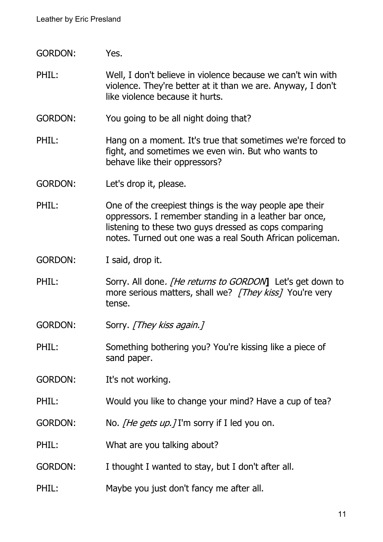- GORDON: Yes.
- PHIL: Well, I don't believe in violence because we can't win with violence. They're better at it than we are. Anyway, I don't like violence because it hurts.
- GORDON: You going to be all night doing that?
- PHIL: Hang on a moment. It's true that sometimes we're forced to fight, and sometimes we even win. But who wants to behave like their oppressors?
- GORDON: Let's drop it, please.
- PHIL: One of the creepiest things is the way people ape their oppressors. I remember standing in a leather bar once, listening to these two guys dressed as cops comparing notes. Turned out one was a real South African policeman.
- GORDON: I said, drop it.
- PHIL: Sorry. All done. *[He returns to GORDON*] Let's get down to more serious matters, shall we? [They kiss] You're very tense.
- GORDON: Sorry. [They kiss again.]
- PHIL: Something bothering you? You're kissing like a piece of sand paper.
- GORDON: It's not working.
- PHIL: Would you like to change your mind? Have a cup of tea?
- GORDON: No. *[He gets up.]* I'm sorry if I led you on.
- PHIL: What are you talking about?
- GORDON: I thought I wanted to stay, but I don't after all.
- PHIL: Maybe you just don't fancy me after all.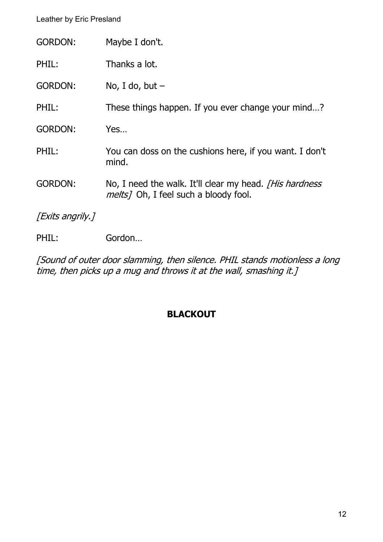| <b>GORDON:</b>   | Maybe I don't.                                                                                            |
|------------------|-----------------------------------------------------------------------------------------------------------|
| PHIL:            | Thanks a lot.                                                                                             |
| <b>GORDON:</b>   | No, I do, but $-$                                                                                         |
| PHIL:            | These things happen. If you ever change your mind?                                                        |
| <b>GORDON:</b>   | Yes                                                                                                       |
| PHIL:            | You can doss on the cushions here, if you want. I don't<br>mind.                                          |
| <b>GORDON:</b>   | No, I need the walk. It'll clear my head. [His hardness]<br><i>melts</i> ] Oh, I feel such a bloody fool. |
| [Exits angrily.] |                                                                                                           |
| PHIL:            | Gordon                                                                                                    |

[Sound of outer door slamming, then silence. PHIL stands motionless a long time, then picks up a mug and throws it at the wall, smashing it.]

#### **BLACKOUT**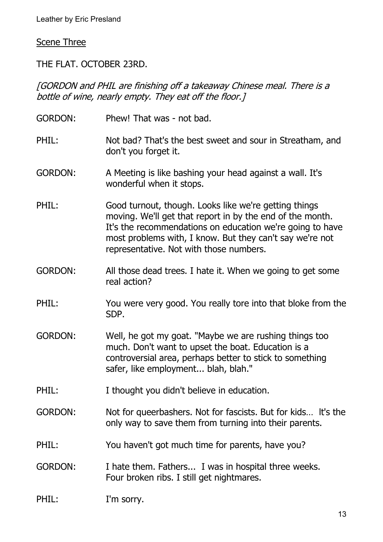#### Scene Three

THE FLAT. OCTOBER 23RD.

[GORDON and PHIL are finishing off a takeaway Chinese meal. There is a bottle of wine, nearly empty. They eat off the floor.]

GORDON: Phew! That was - not bad. PHIL: Not bad? That's the best sweet and sour in Streatham, and don't you forget it. GORDON: A Meeting is like bashing your head against a wall. It's wonderful when it stops. PHIL: Good turnout, though. Looks like we're getting things moving. We'll get that report in by the end of the month. It's the recommendations on education we're going to have most problems with, I know. But they can't say we're not representative. Not with those numbers. GORDON: All those dead trees. I hate it. When we going to get some real action? PHIL: You were very good. You really tore into that bloke from the SDP. GORDON: Well, he got my goat. "Maybe we are rushing things too much. Don't want to upset the boat. Education is a controversial area, perhaps better to stick to something safer, like employment... blah, blah." PHIL: I thought you didn't believe in education. GORDON: Not for queerbashers. Not for fascists. But for kids… lt's the only way to save them from turning into their parents. PHIL: You haven't got much time for parents, have you? GORDON: I hate them. Fathers... I was in hospital three weeks. Four broken ribs. I still get nightmares. PHIL: I'm sorry.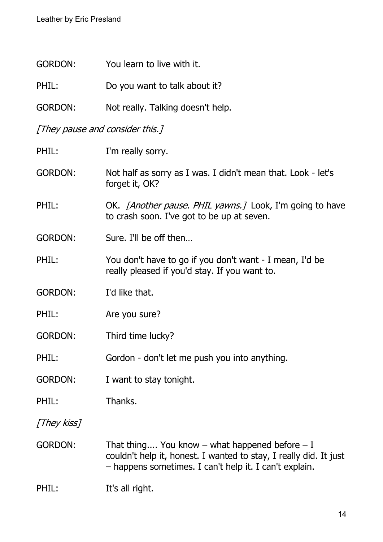| <b>GORDON:</b>                  | You learn to live with it.                                                                                                                                                        |
|---------------------------------|-----------------------------------------------------------------------------------------------------------------------------------------------------------------------------------|
| PHIL:                           | Do you want to talk about it?                                                                                                                                                     |
| <b>GORDON:</b>                  | Not really. Talking doesn't help.                                                                                                                                                 |
| [They pause and consider this.] |                                                                                                                                                                                   |
| PHIL:                           | I'm really sorry.                                                                                                                                                                 |
| <b>GORDON:</b>                  | Not half as sorry as I was. I didn't mean that. Look - let's<br>forget it, OK?                                                                                                    |
| PHIL:                           | OK. <i>[Another pause. PHIL yawns.]</i> Look, I'm going to have<br>to crash soon. I've got to be up at seven.                                                                     |
| <b>GORDON:</b>                  | Sure. I'll be off then                                                                                                                                                            |
| PHIL:                           | You don't have to go if you don't want - I mean, I'd be<br>really pleased if you'd stay. If you want to.                                                                          |
| <b>GORDON:</b>                  | I'd like that.                                                                                                                                                                    |
| PHIL:                           | Are you sure?                                                                                                                                                                     |
| <b>GORDON:</b>                  | Third time lucky?                                                                                                                                                                 |
| PHIL:                           | Gordon - don't let me push you into anything.                                                                                                                                     |
| <b>GORDON:</b>                  | I want to stay tonight.                                                                                                                                                           |
| PHIL:                           | Thanks.                                                                                                                                                                           |
| [They kiss]                     |                                                                                                                                                                                   |
| <b>GORDON:</b>                  | That thing You know $-$ what happened before $-$ I<br>couldn't help it, honest. I wanted to stay, I really did. It just<br>- happens sometimes. I can't help it. I can't explain. |

# PHIL: It's all right.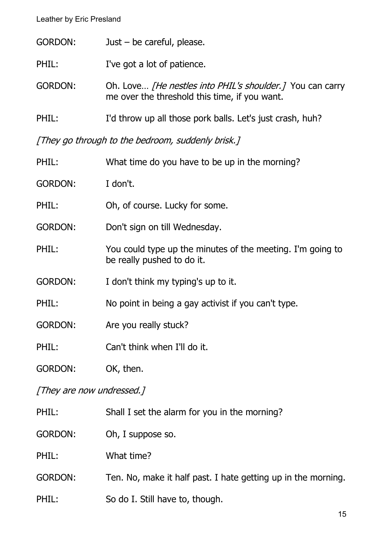- PHIL: I've got a lot of patience.
- GORDON: Oh. Love... [He nestles into PHIL's shoulder.] You can carry me over the threshold this time, if you want.
- PHIL: I'd throw up all those pork balls. Let's just crash, huh?

[They go through to the bedroom, suddenly brisk.]

| PHIL:          | What time do you have to be up in the morning?                                           |
|----------------|------------------------------------------------------------------------------------------|
| <b>GORDON:</b> | I don't.                                                                                 |
| PHIL:          | Oh, of course. Lucky for some.                                                           |
| <b>GORDON:</b> | Don't sign on till Wednesday.                                                            |
| PHIL:          | You could type up the minutes of the meeting. I'm going to<br>be really pushed to do it. |
| <b>GORDON:</b> | I don't think my typing's up to it.                                                      |
| PHIL:          | No point in being a gay activist if you can't type.                                      |
| <b>GORDON:</b> | Are you really stuck?                                                                    |
| PHIL:          | Can't think when I'll do it.                                                             |
| <b>GORDON:</b> | OK, then.                                                                                |

#### [They are now undressed.]

| PHIL:          | Shall I set the alarm for you in the morning?                 |
|----------------|---------------------------------------------------------------|
| <b>GORDON:</b> | Oh, I suppose so.                                             |
| PHIL:          | What time?                                                    |
| <b>GORDON:</b> | Ten. No, make it half past. I hate getting up in the morning. |
| PHIL:          | So do I. Still have to, though.                               |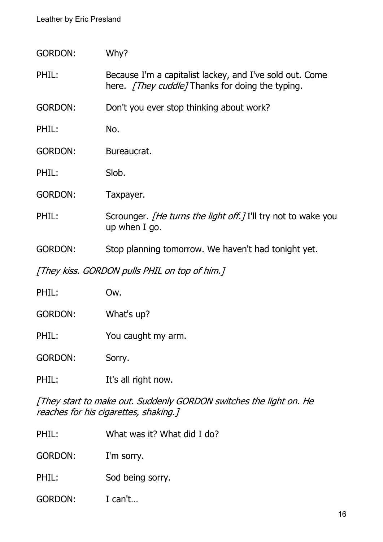GORDON: Why?

PHIL: Because I'm a capitalist lackey, and I've sold out. Come here. [They cuddle] Thanks for doing the typing.

GORDON: Don't you ever stop thinking about work?

PHIL: No.

GORDON: Bureaucrat.

PHIL: Slob.

GORDON: Taxpayer.

PHIL: Scrounger. *[He turns the light off.]* I'll try not to wake you up when I go.

GORDON: Stop planning tomorrow. We haven't had tonight yet.

[They kiss. GORDON pulls PHIL on top of him.]

| PHIL:          | Ow.                 |
|----------------|---------------------|
| <b>GORDON:</b> | What's up?          |
| PHIL:          | You caught my arm.  |
| <b>GORDON:</b> | Sorry.              |
| PHIL:          | It's all right now. |

[They start to make out. Suddenly GORDON switches the light on. He reaches for his cigarettes, shaking.]

PHIL: What was it? What did I do?

GORDON: I'm sorry.

PHIL: Sod being sorry.

GORDON: I can't…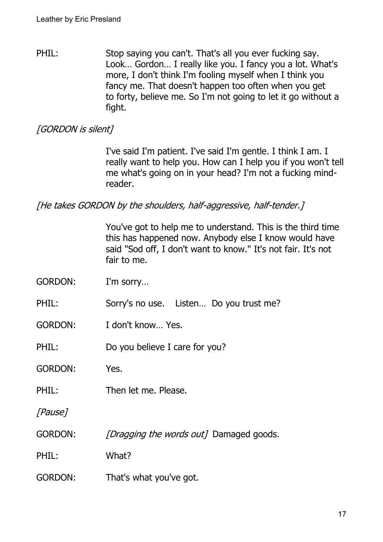PHIL: Stop saying you can't. That's all you ever fucking say. Look… Gordon… I really like you. I fancy you a lot. What's more, I don't think I'm fooling myself when I think you fancy me. That doesn't happen too often when you get to forty, believe me. So I'm not going to let it go without a fight.

#### [GORDON is silent]

I've said I'm patient. I've said I'm gentle. I think I am. I really want to help you. How can I help you if you won't tell me what's going on in your head? I'm not a fucking mindreader.

[He takes GORDON by the shoulders, half-aggressive, half-tender.]

You've got to help me to understand. This is the third time this has happened now. Anybody else I know would have said "Sod off, I don't want to know." It's not fair. It's not fair to me.

- GORDON: I'm sorry…
- PHIL: Sorry's no use. Listen... Do you trust me?
- GORDON: I don't know… Yes.
- PHIL: Do you believe I care for you?
- GORDON: Yes.
- PHIL: Then let me. Please.
- [Pause]
- GORDON: [Dragging the words out] Damaged goods.
- PHIL: What?
- GORDON: That's what you've got.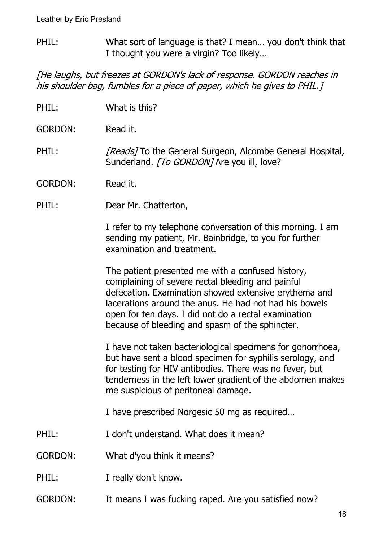PHIL: What sort of language is that? I mean… you don't think that I thought you were a virgin? Too likely…

[He laughs, but freezes at GORDON's lack of response. GORDON reaches in his shoulder bag, fumbles for a piece of paper, which he gives to PHIL.]

- PHIL: What is this?
- GORDON: Read it.
- PHIL: [Reads] To the General Surgeon, Alcombe General Hospital, Sunderland. [To GORDON] Are you ill, love?
- GORDON: Read it.
- PHIL: Dear Mr. Chatterton,

I refer to my telephone conversation of this morning. I am sending my patient, Mr. Bainbridge, to you for further examination and treatment.

The patient presented me with a confused history, complaining of severe rectal bleeding and painful defecation. Examination showed extensive erythema and lacerations around the anus. He had not had his bowels open for ten days. I did not do a rectal examination because of bleeding and spasm of the sphincter.

I have not taken bacteriological specimens for gonorrhoea, but have sent a blood specimen for syphilis serology, and for testing for HIV antibodies. There was no fever, but tenderness in the left lower gradient of the abdomen makes me suspicious of peritoneal damage.

I have prescribed Norgesic 50 mg as required…

- PHIL: I don't understand. What does it mean?
- GORDON: What d'you think it means?
- PHIL: I really don't know.
- GORDON: It means I was fucking raped. Are you satisfied now?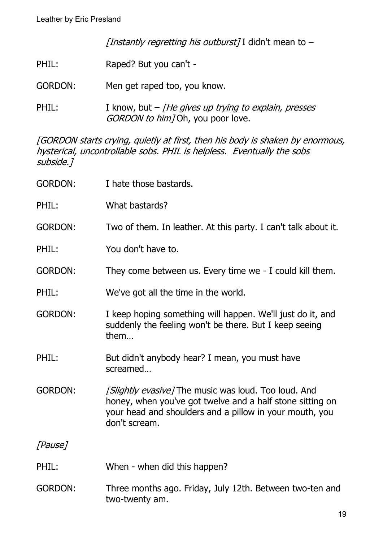[Instantly regretting his outburst] I didn't mean to  $-$ 

- PHIL: Raped? But you can't -
- GORDON: Men get raped too, you know.
- PHIL: I know, but [He gives up trying to explain, presses GORDON to him] Oh, you poor love.

[GORDON starts crying, quietly at first, then his body is shaken by enormous, hysterical, uncontrollable sobs. PHIL is helpless. Eventually the sobs subside.]

| <b>GORDON:</b> | I hate those bastards.                                                                                                                                                                        |
|----------------|-----------------------------------------------------------------------------------------------------------------------------------------------------------------------------------------------|
| PHIL:          | What bastards?                                                                                                                                                                                |
| <b>GORDON:</b> | Two of them. In leather. At this party. I can't talk about it.                                                                                                                                |
| PHIL:          | You don't have to.                                                                                                                                                                            |
| <b>GORDON:</b> | They come between us. Every time we - I could kill them.                                                                                                                                      |
| PHIL:          | We've got all the time in the world.                                                                                                                                                          |
| <b>GORDON:</b> | I keep hoping something will happen. We'll just do it, and<br>suddenly the feeling won't be there. But I keep seeing<br>them                                                                  |
| PHIL:          | But didn't anybody hear? I mean, you must have<br>screamed                                                                                                                                    |
| <b>GORDON:</b> | [Slightly evasive] The music was loud. Too loud. And<br>honey, when you've got twelve and a half stone sitting on<br>your head and shoulders and a pillow in your mouth, you<br>don't scream. |
| [Pause]        |                                                                                                                                                                                               |
| PHIL:          | When - when did this happen?                                                                                                                                                                  |
| <b>GORDON:</b> | Three months ago. Friday, July 12th. Between two-ten and<br>two-twenty am.                                                                                                                    |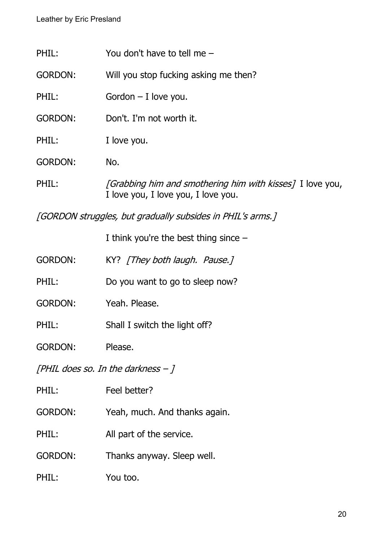| PHIL:          | You don't have to tell me $-$                                                                           |
|----------------|---------------------------------------------------------------------------------------------------------|
| <b>GORDON:</b> | Will you stop fucking asking me then?                                                                   |
| PHIL:          | Gordon $-$ I love you.                                                                                  |
| <b>GORDON:</b> | Don't, I'm not worth it.                                                                                |
| PHIL:          | I love you.                                                                                             |
| <b>GORDON:</b> | No.                                                                                                     |
| PHIL:          | <i>[Grabbing him and smothering him with kisses]</i> I love you,<br>I love you, I love you, I love you. |

[GORDON struggles, but gradually subsides in PHIL's arms.]

I think you're the best thing since –

- GORDON: KY? [They both laugh. Pause.]
- PHIL: Do you want to go to sleep now?
- GORDON: Yeah. Please.
- PHIL: Shall I switch the light off?
- GORDON: Please.

[PHIL does so. In the darkness  $-1$ 

GORDON: Yeah, much. And thanks again.

PHIL: All part of the service.

GORDON: Thanks anyway. Sleep well.

PHIL: You too.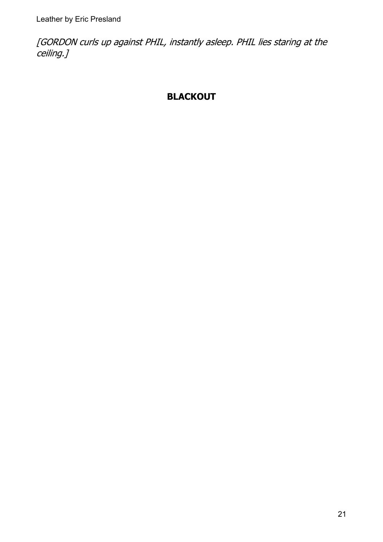[GORDON curls up against PHIL, instantly asleep. PHIL lies staring at the ceiling.]

### **BLACKOUT**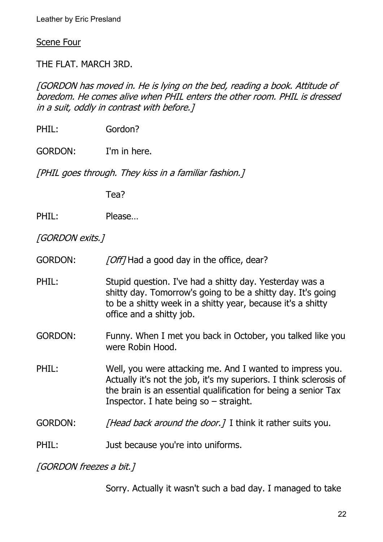Scene Four

THE FLAT. MARCH 3RD.

[GORDON has moved in. He is lying on the bed, reading a book. Attitude of boredom. He comes alive when PHIL enters the other room. PHIL is dressed in a suit, oddly in contrast with before.]

PHIL: Gordon?

GORDON: I'm in here.

[PHIL goes through. They kiss in a familiar fashion.]

Tea?

PHIL: Please...

[GORDON exits.]

- GORDON: [Off] Had a good day in the office, dear?
- PHIL: Stupid question. I've had a shitty day. Yesterday was a shitty day. Tomorrow's going to be a shitty day. It's going to be a shitty week in a shitty year, because it's a shitty office and a shitty job.
- GORDON: Funny. When I met you back in October, you talked like you were Robin Hood.
- PHIL: Well, you were attacking me. And I wanted to impress you. Actually it's not the job, it's my superiors. I think sclerosis of the brain is an essential qualification for being a senior Tax Inspector. I hate being so – straight.
- GORDON: [Head back around the door.] I think it rather suits you.

PHIL: **Just because you're into uniforms.** 

[GORDON freezes a bit.]

Sorry. Actually it wasn't such a bad day. I managed to take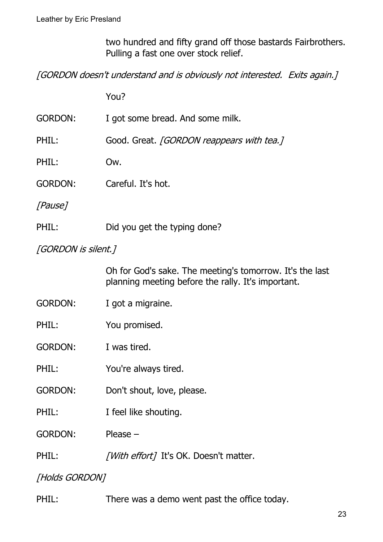two hundred and fifty grand off those bastards Fairbrothers. Pulling a fast one over stock relief.

[GORDON doesn't understand and is obviously not interested. Exits again.]

You?

| GORDON:        | I got some bread. And some milk.                 |
|----------------|--------------------------------------------------|
| PHIL:          | Good. Great. <i>[GORDON reappears with tea.]</i> |
| PHIL:          | Ow.                                              |
| <b>GORDON:</b> | Careful. It's hot.                               |
| [Pause]        |                                                  |

PHIL: Did you get the typing done?

[GORDON is silent.]

Oh for God's sake. The meeting's tomorrow. It's the last planning meeting before the rally. It's important.

- GORDON: I got a migraine.
- PHIL: You promised.

GORDON: I was tired.

- PHIL: You're always tired.
- GORDON: Don't shout, love, please.
- PHIL: I feel like shouting.

GORDON: Please –

PHIL: [With effort] It's OK. Doesn't matter.

[Holds GORDON]

PHIL: There was a demo went past the office today.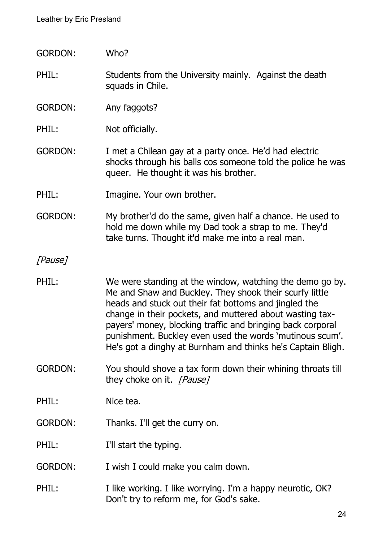- GORDON: Who?
- PHIL: Students from the University mainly. Against the death squads in Chile.
- GORDON: Any faggots?
- PHIL: Not officially.
- GORDON: I met a Chilean gay at a party once. He'd had electric shocks through his balls cos someone told the police he was queer. He thought it was his brother.
- PHIL: Imagine. Your own brother.
- GORDON: My brother'd do the same, given half a chance. He used to hold me down while my Dad took a strap to me. They'd take turns. Thought it'd make me into a real man.

#### [Pause]

- PHIL: We were standing at the window, watching the demo go by. Me and Shaw and Buckley. They shook their scurfy little heads and stuck out their fat bottoms and jingled the change in their pockets, and muttered about wasting taxpayers' money, blocking traffic and bringing back corporal punishment. Buckley even used the words 'mutinous scum'. He's got a dinghy at Burnham and thinks he's Captain Bligh.
- GORDON: You should shove a tax form down their whining throats till they choke on it. [Pause]
- PHIL: Nice tea.
- GORDON: Thanks. I'll get the curry on.

PHIL: I'll start the typing.

- GORDON: I wish I could make you calm down.
- PHIL: I like working. I like worrying. I'm a happy neurotic, OK? Don't try to reform me, for God's sake.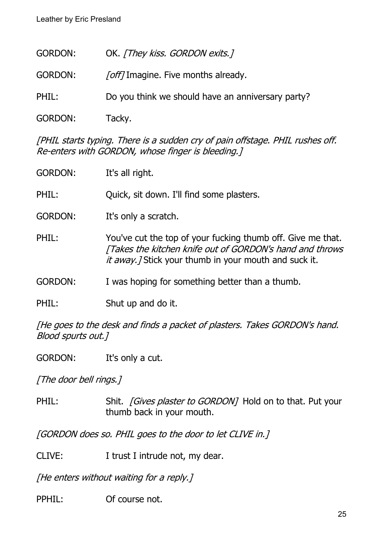| <b>GORDON:</b> | OK. [They kiss. GORDON exits.]                    |
|----------------|---------------------------------------------------|
| <b>GORDON:</b> | <i>[off]</i> Imagine. Five months already.        |
| PHIL:          | Do you think we should have an anniversary party? |
| <b>GORDON:</b> | Tacky.                                            |

[PHIL starts typing. There is a sudden cry of pain offstage. PHIL rushes off. Re-enters with GORDON, whose finger is bleeding.]

| <b>GORDON:</b> | It's all right.                                                                                                                                                                   |
|----------------|-----------------------------------------------------------------------------------------------------------------------------------------------------------------------------------|
| PHIL:          | Quick, sit down. I'll find some plasters.                                                                                                                                         |
| <b>GORDON:</b> | It's only a scratch.                                                                                                                                                              |
| PHIL:          | You've cut the top of your fucking thumb off. Give me that.<br>[Takes the kitchen knife out of GORDON's hand and throws<br>it away. / Stick your thumb in your mouth and suck it. |
| <b>GORDON:</b> | I was hoping for something better than a thumb.                                                                                                                                   |
| PHIL:          | Shut up and do it.                                                                                                                                                                |
|                |                                                                                                                                                                                   |

[He goes to the desk and finds a packet of plasters. Takes GORDON's hand. Blood spurts out.]

GORDON: It's only a cut.

[The door bell rings.]

PHIL: Shit. [Gives plaster to GORDON] Hold on to that. Put your thumb back in your mouth.

[GORDON does so. PHIL goes to the door to let CLIVE in.]

CLIVE: I trust I intrude not, my dear.

[He enters without waiting for a reply.]

PPHIL: Of course not.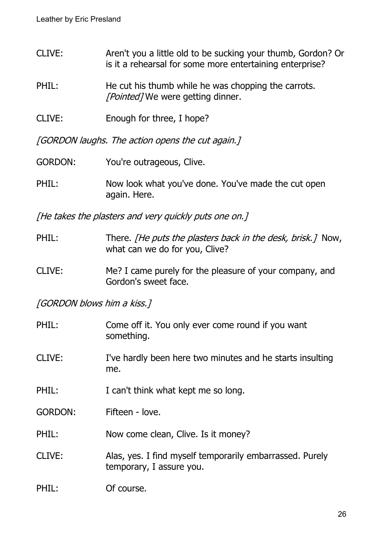- CLIVE: Aren't you a little old to be sucking your thumb, Gordon? Or is it a rehearsal for some more entertaining enterprise?
- PHIL: He cut his thumb while he was chopping the carrots. [Pointed] We were getting dinner.
- CLIVE: Enough for three, I hope?

[GORDON laughs. The action opens the cut again.]

- GORDON: You're outrageous, Clive.
- PHIL: Now look what you've done. You've made the cut open again. Here.

[He takes the plasters and very quickly puts one on.]

- PHIL: There. *[He puts the plasters back in the desk, brisk.]* Now, what can we do for you, Clive?
- CLIVE: Me? I came purely for the pleasure of your company, and Gordon's sweet face.

[GORDON blows him a kiss.]

| PHIL:          | Come off it. You only ever come round if you want<br>something.                      |
|----------------|--------------------------------------------------------------------------------------|
| CLIVE:         | I've hardly been here two minutes and he starts insulting<br>me.                     |
| PHIL:          | I can't think what kept me so long.                                                  |
| <b>GORDON:</b> | Fifteen - love.                                                                      |
| PHIL:          | Now come clean, Clive. Is it money?                                                  |
| CLIVE:         | Alas, yes. I find myself temporarily embarrassed. Purely<br>temporary, I assure you. |
| PHIL:          | Of course.                                                                           |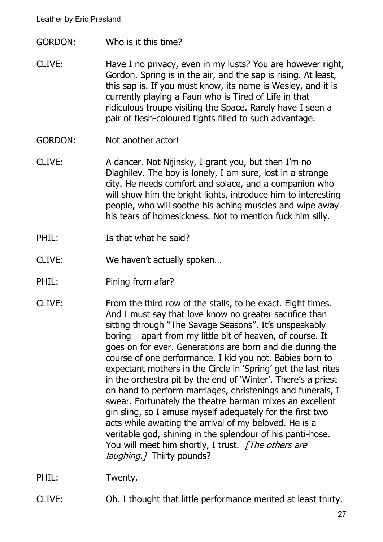- GORDON: Who is it this time?
- CLIVE: Have I no privacy, even in my lusts? You are however right, Gordon. Spring is in the air, and the sap is rising. At least, this sap is. If you must know, its name is Wesley, and it is currently playing a Faun who is Tired of Life in that ridiculous troupe visiting the Space. Rarely have I seen a pair of flesh-coloured tights filled to such advantage.
- GORDON: Not another actor!
- CLIVE: A dancer. Not Nijinsky, I grant you, but then I'm no Diaghilev. The boy is lonely, I am sure, lost in a strange city. He needs comfort and solace, and a companion who will show him the bright lights, introduce him to interesting people, who will soothe his aching muscles and wipe away his tears of homesickness. Not to mention fuck him silly.
- PHIL: Is that what he said?
- CLIVE: We haven't actually spoken…
- PHIL: Pining from afar?
- CLIVE: From the third row of the stalls, to be exact. Eight times. And I must say that love know no greater sacrifice than sitting through "The Savage Seasons". It's unspeakably boring – apart from my little bit of heaven, of course. It goes on for ever. Generations are born and die during the course of one performance. I kid you not. Babies born to expectant mothers in the Circle in 'Spring' get the last rites in the orchestra pit by the end of 'Winter'. There's a priest on hand to perform marriages, christenings and funerals, I swear. Fortunately the theatre barman mixes an excellent gin sling, so I amuse myself adequately for the first two acts while awaiting the arrival of my beloved. He is a veritable god, shining in the splendour of his panti-hose. You will meet him shortly, I trust. [The others are laughing. 7 Thirty pounds?
- PHIL: Twenty.
- CLIVE: Oh. I thought that little performance merited at least thirty.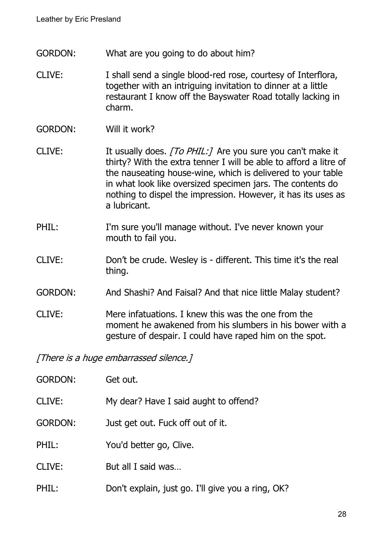- GORDON: What are you going to do about him?
- CLIVE: I shall send a single blood-red rose, courtesy of Interflora, together with an intriguing invitation to dinner at a little restaurant I know off the Bayswater Road totally lacking in charm.
- GORDON: Will it work?
- CLIVE: It usually does. [To PHIL:] Are you sure you can't make it thirty? With the extra tenner I will be able to afford a litre of the nauseating house-wine, which is delivered to your table in what look like oversized specimen jars. The contents do nothing to dispel the impression. However, it has its uses as a lubricant.
- PHIL: I'm sure you'll manage without. I've never known your mouth to fail you.
- CLIVE: Don't be crude. Wesley is different. This time it's the real thing.
- GORDON: And Shashi? And Faisal? And that nice little Malay student?
- CLIVE: Mere infatuations. I knew this was the one from the moment he awakened from his slumbers in his bower with a gesture of despair. I could have raped him on the spot.

[There is a huge embarrassed silence.]

| GORDON:       | Get out.                                          |
|---------------|---------------------------------------------------|
| <b>CLIVE:</b> | My dear? Have I said aught to offend?             |
| GORDON:       | Just get out. Fuck off out of it.                 |
| PHIL:         | You'd better go, Clive.                           |
| <b>CLIVE:</b> | But all I said was                                |
| PHIL:         | Don't explain, just go. I'll give you a ring, OK? |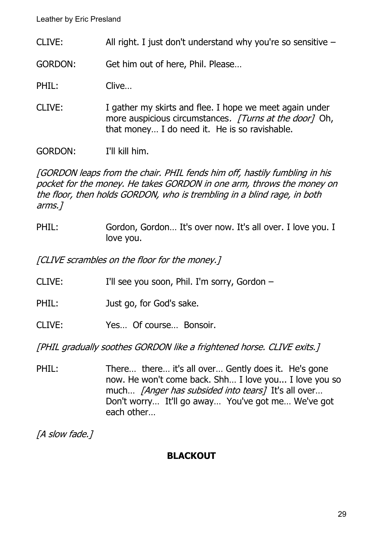CLIVE: All right. I just don't understand why you're so sensitive –

GORDON: Get him out of here, Phil. Please…

PHIL: Clive...

CLIVE: I gather my skirts and flee. I hope we meet again under more auspicious circumstances. [Turns at the door] Oh, that money… I do need it. He is so ravishable.

GORDON: I'll kill him.

[GORDON leaps from the chair. PHIL fends him off, hastily fumbling in his pocket for the money. He takes GORDON in one arm, throws the money on the floor, then holds GORDON, who is trembling in a blind rage, in both arms.]

PHIL: Gordon, Gordon... It's over now. It's all over. I love you. I love you.

[CLIVE scrambles on the floor for the money.]

- CLIVE: I'll see you soon, Phil. I'm sorry, Gordon –
- PHIL: Just go, for God's sake.
- CLIVE: Yes… Of course… Bonsoir.

[PHIL gradually soothes GORDON like a frightened horse. CLIVE exits.]

PHIL: There... there... it's all over... Gently does it. He's gone now. He won't come back. Shh… I love you... I love you so much... *[Anger has subsided into tears]* It's all over... Don't worry… It'll go away… You've got me… We've got each other…

[A slow fade.]

## **BLACKOUT**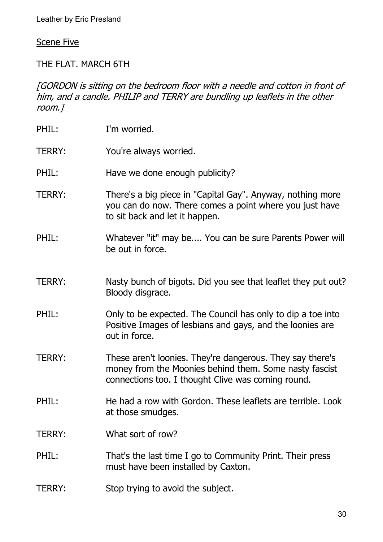Scene Five

THE FLAT. MARCH 6TH

[GORDON is sitting on the bedroom floor with a needle and cotton in front of him, and a candle. PHILIP and TERRY are bundling up leaflets in the other room.]

- PHIL: I'm worried.
- TERRY: You're always worried.
- PHIL: Have we done enough publicity?
- TERRY: There's a big piece in "Capital Gay". Anyway, nothing more you can do now. There comes a point where you just have to sit back and let it happen.
- PHIL: Whatever "it" may be.... You can be sure Parents Power will be out in force.
- TERRY: Nasty bunch of bigots. Did you see that leaflet they put out? Bloody disgrace.
- PHIL: Only to be expected. The Council has only to dip a toe into Positive Images of lesbians and gays, and the loonies are out in force.
- TERRY: These aren't loonies. They're dangerous. They say there's money from the Moonies behind them. Some nasty fascist connections too. I thought Clive was coming round.
- PHIL: He had a row with Gordon. These leaflets are terrible. Look at those smudges.
- TERRY: What sort of row?
- PHIL: That's the last time I go to Community Print. Their press must have been installed by Caxton.
- TERRY: Stop trying to avoid the subject.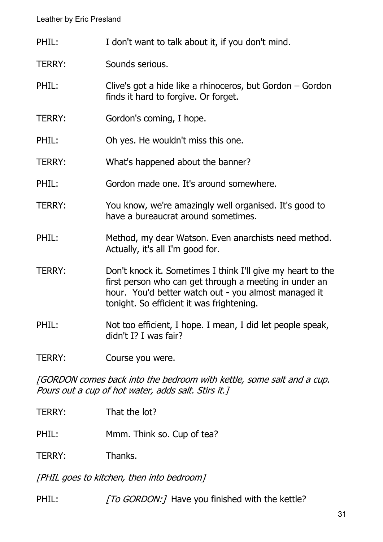- PHIL: I don't want to talk about it, if you don't mind.
- TERRY: Sounds serious.
- PHIL: Clive's got a hide like a rhinoceros, but Gordon Gordon finds it hard to forgive. Or forget.
- TERRY: Gordon's coming, I hope.
- PHIL: Oh yes. He wouldn't miss this one.
- TERRY: What's happened about the banner?
- PHIL: Gordon made one. It's around somewhere.
- TERRY: You know, we're amazingly well organised. It's good to have a bureaucrat around sometimes.
- PHIL: Method, my dear Watson. Even anarchists need method. Actually, it's all I'm good for.
- TERRY: Don't knock it. Sometimes I think I'll give my heart to the first person who can get through a meeting in under an hour. You'd better watch out - you almost managed it tonight. So efficient it was frightening.
- PHIL: Not too efficient, I hope. I mean, I did let people speak, didn't I? I was fair?
- TERRY: Course you were.

[GORDON comes back into the bedroom with kettle, some salt and a cup. Pours out a cup of hot water, adds salt. Stirs it.]

- TERRY: That the lot?
- PHIL: Mmm. Think so. Cup of tea?
- TERRY: Thanks.

[PHIL goes to kitchen, then into bedroom]

PHIL: [To GORDON:] Have you finished with the kettle?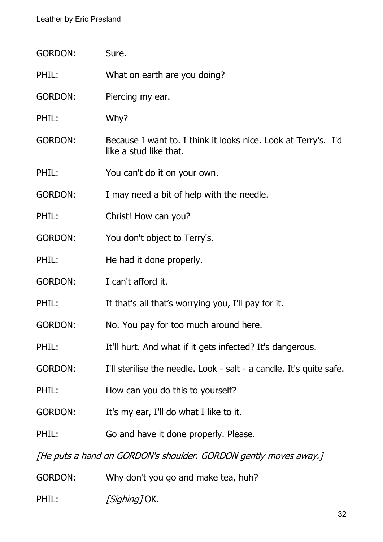| <b>GORDON:</b> | Sure.                                                                                    |
|----------------|------------------------------------------------------------------------------------------|
| PHIL:          | What on earth are you doing?                                                             |
| <b>GORDON:</b> | Piercing my ear.                                                                         |
| PHIL:          | Why?                                                                                     |
| <b>GORDON:</b> | Because I want to. I think it looks nice. Look at Terry's. I'd<br>like a stud like that. |
| PHIL:          | You can't do it on your own.                                                             |
| <b>GORDON:</b> | I may need a bit of help with the needle.                                                |
| PHIL:          | Christ! How can you?                                                                     |
| <b>GORDON:</b> | You don't object to Terry's.                                                             |
| PHIL:          | He had it done properly.                                                                 |
| <b>GORDON:</b> | I can't afford it.                                                                       |
| PHIL:          | If that's all that's worrying you, I'll pay for it.                                      |
| <b>GORDON:</b> | No. You pay for too much around here.                                                    |
| PHIL:          | It'll hurt. And what if it gets infected? It's dangerous.                                |
| <b>GORDON:</b> | I'll sterilise the needle. Look - salt - a candle. It's quite safe.                      |
| PHIL:          | How can you do this to yourself?                                                         |
| <b>GORDON:</b> | It's my ear, I'll do what I like to it.                                                  |
| PHIL:          | Go and have it done properly. Please.                                                    |
|                | [He puts a hand on GORDON's shoulder. GORDON gently moves away.]                         |
| <b>GORDON:</b> | Why don't you go and make tea, huh?                                                      |

PHIL: [Sighing] OK.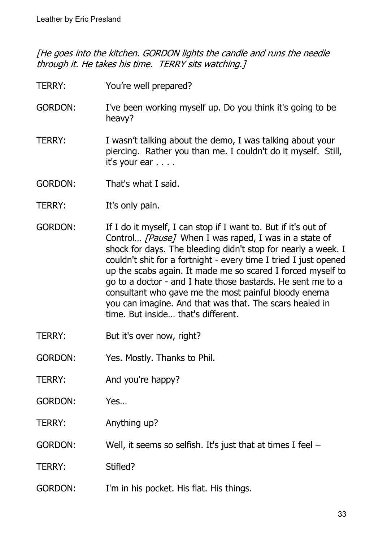[He goes into the kitchen. GORDON lights the candle and runs the needle through it. He takes his time. TERRY sits watching.]

- TERRY: You're well prepared?
- GORDON: I've been working myself up. Do you think it's going to be heavy?
- TERRY: I wasn't talking about the demo, I was talking about your piercing. Rather you than me. I couldn't do it myself. Still, it's your ear . . . .
- GORDON: That's what I said.
- TERRY: It's only pain.
- GORDON: If I do it myself, I can stop if I want to. But if it's out of Control... [Pause] When I was raped, I was in a state of shock for days. The bleeding didn't stop for nearly a week. I couldn't shit for a fortnight - every time I tried I just opened up the scabs again. It made me so scared I forced myself to go to a doctor - and I hate those bastards. He sent me to a consultant who gave me the most painful bloody enema you can imagine. And that was that. The scars healed in time. But inside… that's different.
- TERRY: But it's over now, right?
- GORDON: Yes. Mostly. Thanks to Phil.
- TERRY: And you're happy?
- GORDON: Yes…
- TERRY: Anything up?
- GORDON: Well, it seems so selfish. It's just that at times I feel –
- TERRY: Stifled?
- GORDON: I'm in his pocket. His flat. His things.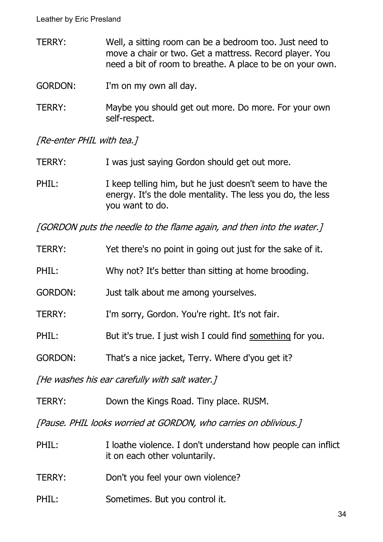- TERRY: Well, a sitting room can be a bedroom too. Just need to move a chair or two. Get a mattress. Record player. You need a bit of room to breathe. A place to be on your own.
- GORDON: I'm on my own all day.
- TERRY: Maybe you should get out more. Do more. For your own self-respect.

[Re-enter PHIL with tea.]

- TERRY: I was just saying Gordon should get out more.
- PHIL: I keep telling him, but he just doesn't seem to have the energy. It's the dole mentality. The less you do, the less you want to do.

[GORDON puts the needle to the flame again, and then into the water.]

| <b>TERRY:</b>  | Yet there's no point in going out just for the sake of it. |
|----------------|------------------------------------------------------------|
| PHIL:          | Why not? It's better than sitting at home brooding.        |
| <b>GORDON:</b> | Just talk about me among yourselves.                       |
| <b>TERRY:</b>  | I'm sorry, Gordon. You're right. It's not fair.            |
| PHIL:          | But it's true. I just wish I could find something for you. |
| <b>GORDON:</b> | That's a nice jacket, Terry. Where d'you get it?           |
|                |                                                            |

[He washes his ear carefully with salt water.]

TERRY: Down the Kings Road. Tiny place. RUSM.

[Pause. PHIL looks worried at GORDON, who carries on oblivious.]

- PHIL: I loathe violence. I don't understand how people can inflict it on each other voluntarily.
- TERRY: Don't you feel your own violence?
- PHIL: Sometimes. But you control it.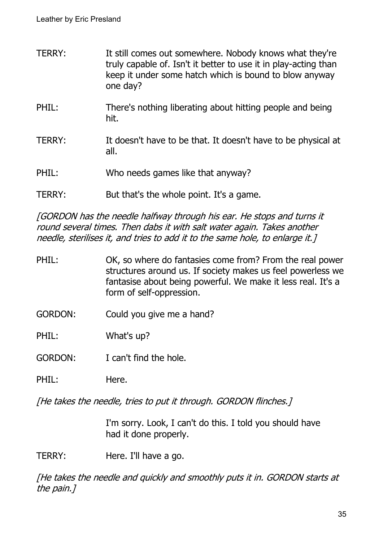- TERRY: It still comes out somewhere. Nobody knows what they're truly capable of. Isn't it better to use it in play-acting than keep it under some hatch which is bound to blow anyway one day?
- PHIL: There's nothing liberating about hitting people and being hit.
- TERRY: It doesn't have to be that. It doesn't have to be physical at all.
- PHIL: Who needs games like that anyway?
- TERRY: But that's the whole point. It's a game.

[GORDON has the needle halfway through his ear. He stops and turns it round several times. Then dabs it with salt water again. Takes another needle, sterilises it, and tries to add it to the same hole, to enlarge it.]

- PHIL: OK, so where do fantasies come from? From the real power structures around us. If society makes us feel powerless we fantasise about being powerful. We make it less real. It's a form of self-oppression.
- GORDON: Could you give me a hand?
- PHIL: What's up?
- GORDON: I can't find the hole.
- PHIL: Here.

[He takes the needle, tries to put it through. GORDON flinches.]

I'm sorry. Look, I can't do this. I told you should have had it done properly.

TERRY: Here. I'll have a go.

[He takes the needle and quickly and smoothly puts it in. GORDON starts at the pain.]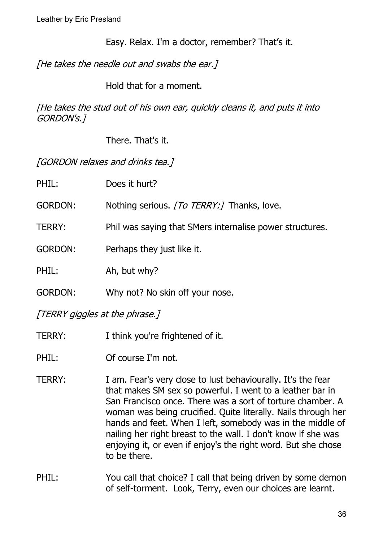Easy. Relax. I'm a doctor, remember? That's it.

[He takes the needle out and swabs the ear.]

Hold that for a moment.

[He takes the stud out of his own ear, quickly cleans it, and puts it into GORDON's.]

There. That's it.

[GORDON relaxes and drinks tea.]

| PHIL:          | Does it hurt?                                            |
|----------------|----------------------------------------------------------|
| <b>GORDON:</b> | Nothing serious. [To TERRY:] Thanks, love.               |
| TERRY:         | Phil was saying that SMers internalise power structures. |
| <b>GORDON:</b> | Perhaps they just like it.                               |
| PHIL:          | Ah, but why?                                             |
| <b>GORDON:</b> | Why not? No skin off your nose.                          |

[TERRY giggles at the phrase.]

- TERRY: I think you're frightened of it.
- PHIL: Of course I'm not.
- TERRY: I am. Fear's very close to lust behaviourally. It's the fear that makes SM sex so powerful. I went to a leather bar in San Francisco once. There was a sort of torture chamber. A woman was being crucified. Quite literally. Nails through her hands and feet. When I left, somebody was in the middle of nailing her right breast to the wall. I don't know if she was enjoying it, or even if enjoy's the right word. But she chose to be there.
- PHIL: You call that choice? I call that being driven by some demon of self-torment. Look, Terry, even our choices are learnt.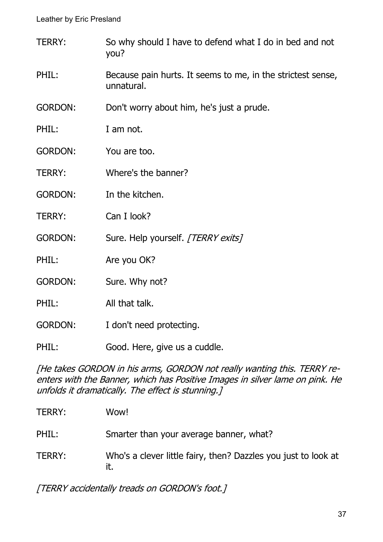- TERRY: So why should I have to defend what I do in bed and not you?
- PHIL: Because pain hurts. It seems to me, in the strictest sense, unnatural.

GORDON: Don't worry about him, he's just a prude.

- PHIL: I am not.
- GORDON: You are too.
- TERRY: Where's the banner?
- GORDON: In the kitchen.
- TERRY: Can I look?
- GORDON: Sure. Help yourself. [TERRY exits]
- PHIL: Are you OK?
- GORDON: Sure. Why not?
- PHIL: All that talk.
- GORDON: I don't need protecting.
- PHIL: Good. Here, give us a cuddle.

[He takes GORDON in his arms, GORDON not really wanting this. TERRY reenters with the Banner, which has Positive Images in silver lame on pink. He unfolds it dramatically. The effect is stunning.]

| TERRY: | Wow!                                                                  |
|--------|-----------------------------------------------------------------------|
| PHIL:  | Smarter than your average banner, what?                               |
| TERRY: | Who's a clever little fairy, then? Dazzles you just to look at<br>it. |

[TERRY accidentally treads on GORDON's foot.]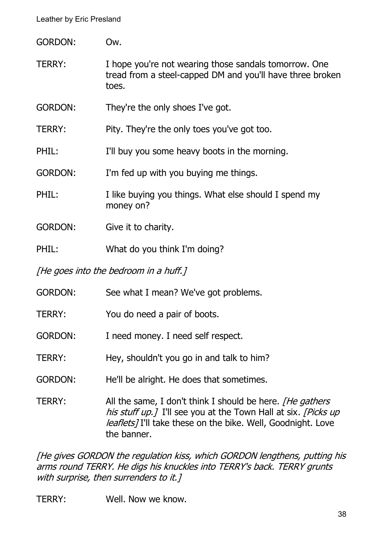| <b>GORDON:</b>                        | Ow.                                                                                                                         |  |
|---------------------------------------|-----------------------------------------------------------------------------------------------------------------------------|--|
| <b>TERRY:</b>                         | I hope you're not wearing those sandals tomorrow. One<br>tread from a steel-capped DM and you'll have three broken<br>toes. |  |
| <b>GORDON:</b>                        | They're the only shoes I've got.                                                                                            |  |
| <b>TERRY:</b>                         | Pity. They're the only toes you've got too.                                                                                 |  |
| PHIL:                                 | I'll buy you some heavy boots in the morning.                                                                               |  |
| <b>GORDON:</b>                        | I'm fed up with you buying me things.                                                                                       |  |
| PHIL:                                 | I like buying you things. What else should I spend my<br>money on?                                                          |  |
| <b>GORDON:</b>                        | Give it to charity.                                                                                                         |  |
| PHIL:                                 | What do you think I'm doing?                                                                                                |  |
| [He goes into the bedroom in a huff.] |                                                                                                                             |  |
| <b>GORDON:</b>                        | See what I mean? We've got problems.                                                                                        |  |
| <b>TERRY:</b>                         | You do need a pair of boots.                                                                                                |  |
| <b>GORDON:</b>                        | I need money. I need self respect.                                                                                          |  |

- TERRY: Hey, shouldn't you go in and talk to him?
- GORDON: He'll be alright. He does that sometimes.

TERRY: All the same, I don't think I should be here. [He gathers his stuff up. [ I'll see you at the Town Hall at six. [Picks up leaflets] I'll take these on the bike. Well, Goodnight. Love the banner.

[He gives GORDON the regulation kiss, which GORDON lengthens, putting his arms round TERRY. He digs his knuckles into TERRY's back. TERRY grunts with surprise, then surrenders to it.]

TERRY: Well. Now we know.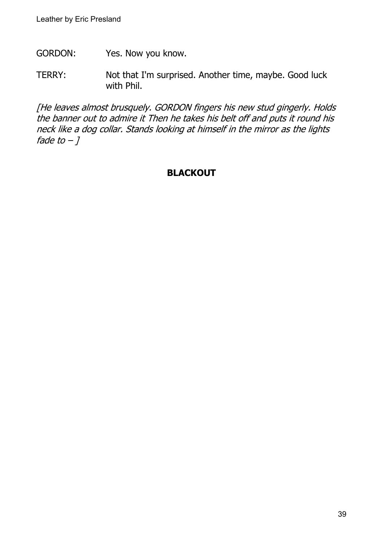- GORDON: Yes. Now you know.
- TERRY: Not that I'm surprised. Another time, maybe. Good luck with Phil.

[He leaves almost brusquely. GORDON fingers his new stud gingerly. Holds the banner out to admire it Then he takes his belt off and puts it round his neck like a dog collar. Stands looking at himself in the mirror as the lights fade to  $-1$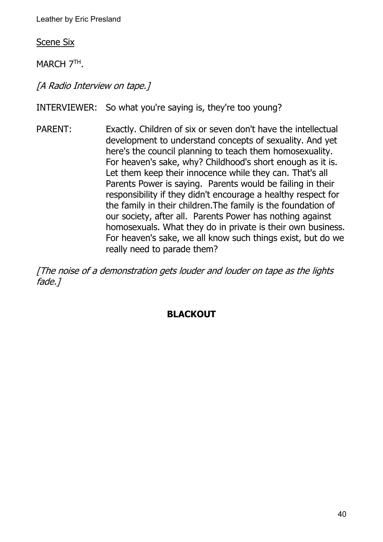Scene Six

MARCH 7TH.

[A Radio Interview on tape.]

INTERVIEWER: So what you're saying is, they're too young?

PARENT: Exactly. Children of six or seven don't have the intellectual development to understand concepts of sexuality. And yet here's the council planning to teach them homosexuality. For heaven's sake, why? Childhood's short enough as it is. Let them keep their innocence while they can. That's all Parents Power is saying. Parents would be failing in their responsibility if they didn't encourage a healthy respect for the family in their children.The family is the foundation of our society, after all. Parents Power has nothing against homosexuals. What they do in private is their own business. For heaven's sake, we all know such things exist, but do we really need to parade them?

[The noise of a demonstration gets louder and louder on tape as the lights fade.]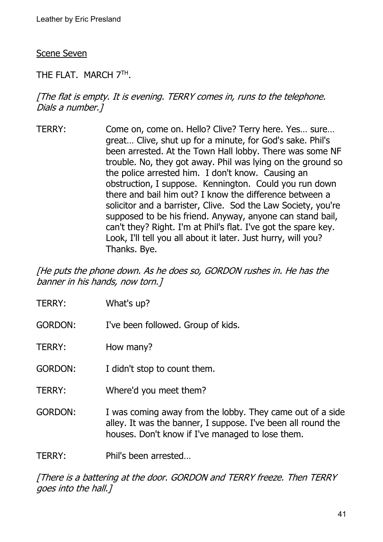#### Scene Seven

## THE FLAT. MARCH 7TH .

## [The flat is empty. It is evening. TERRY comes in, runs to the telephone. Dials a number.]

TERRY: Come on, come on. Hello? Clive? Terry here. Yes… sure… great… Clive, shut up for a minute, for God's sake. Phil's been arrested. At the Town Hall lobby. There was some NF trouble. No, they got away. Phil was lying on the ground so the police arrested him. I don't know. Causing an obstruction, I suppose. Kennington. Could you run down there and bail him out? I know the difference between a solicitor and a barrister, Clive. Sod the Law Society, you're supposed to be his friend. Anyway, anyone can stand bail, can't they? Right. I'm at Phil's flat. I've got the spare key. Look, I'll tell you all about it later. Just hurry, will you? Thanks. Bye.

[He puts the phone down. As he does so, GORDON rushes in. He has the banner in his hands, now torn.]

- TERRY: What's up?
- GORDON: I've been followed. Group of kids.
- TERRY: How many?
- GORDON: I didn't stop to count them.
- TERRY: Where'd you meet them?
- GORDON: I was coming away from the lobby. They came out of a side alley. It was the banner, I suppose. I've been all round the houses. Don't know if I've managed to lose them.

TERRY: Phil's been arrested…

[There is a battering at the door. GORDON and TERRY freeze. Then TERRY goes into the hall.]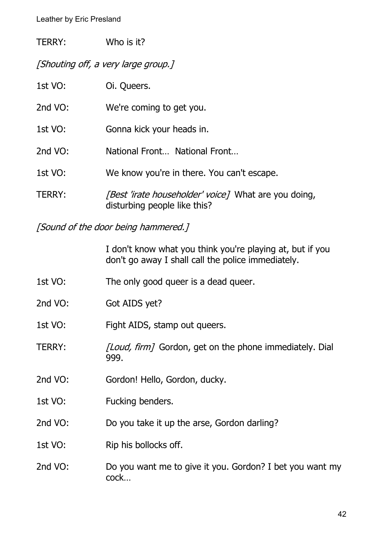| TERRY: | Who is it? |
|--------|------------|
|        |            |

[Shouting off, a very large group.]

| 1st VO:       | Oi. Queers.                                                                                 |
|---------------|---------------------------------------------------------------------------------------------|
| 2nd VO:       | We're coming to get you.                                                                    |
| 1st VO:       | Gonna kick your heads in.                                                                   |
| 2nd VO:       | National Front National Front                                                               |
| 1st VO:       | We know you're in there. You can't escape.                                                  |
| <b>TERRY:</b> | <i>[Best 'irate householder' voice]</i> What are you doing,<br>disturbing people like this? |

[Sound of the door being hammered.]

I don't know what you think you're playing at, but if you don't go away I shall call the police immediately.

- 1st VO: The only good queer is a dead queer.
- 2nd VO: Got AIDS yet?
- 1st VO: Fight AIDS, stamp out queers.
- TERRY: [Loud, firm] Gordon, get on the phone immediately. Dial 999.
- 2nd VO: Gordon! Hello, Gordon, ducky.
- 1st VO: Fucking benders.
- 2nd VO: Do you take it up the arse, Gordon darling?
- 1st VO: Rip his bollocks off.
- 2nd VO: Do you want me to give it you. Gordon? I bet you want my cock…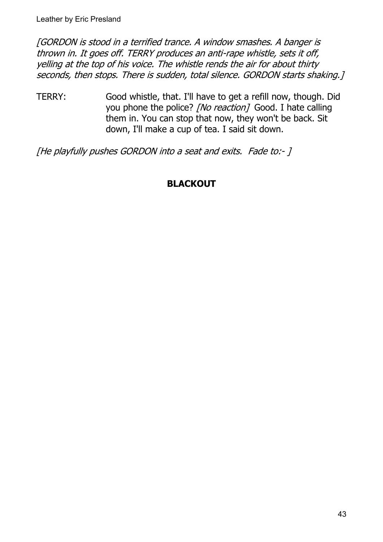[GORDON is stood in a terrified trance. A window smashes. A banger is thrown in. It goes off. TERRY produces an anti-rape whistle, sets it off, yelling at the top of his voice. The whistle rends the air for about thirty seconds, then stops. There is sudden, total silence. GORDON starts shaking.]

TERRY: Good whistle, that. I'll have to get a refill now, though. Did you phone the police? [No reaction] Good. I hate calling them in. You can stop that now, they won't be back. Sit down, I'll make a cup of tea. I said sit down.

[He playfully pushes GORDON into a seat and exits. Fade to:- ]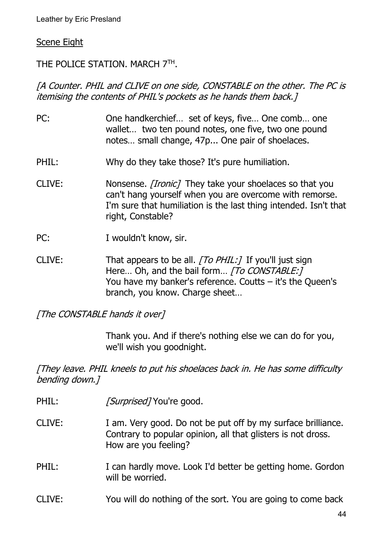#### Scene Eight

## THE POLICE STATION. MARCH 7TH.

## [A Counter. PHIL and CLIVE on one side, CONSTABLE on the other. The PC is itemising the contents of PHIL's pockets as he hands them back.]

- PC: One handkerchief… set of keys, five… One comb… one wallet… two ten pound notes, one five, two one pound notes… small change, 47p... One pair of shoelaces.
- PHIL: Why do they take those? It's pure humiliation.
- CLIVE: Nonsense. *[Ironic]* They take your shoelaces so that you can't hang yourself when you are overcome with remorse. I'm sure that humiliation is the last thing intended. Isn't that right, Constable?
- PC: I wouldn't know, sir.
- CLIVE: That appears to be all.  $[To PHIL:]$  If you'll just sign Here... Oh, and the bail form... *[To CONSTABLE:]* You have my banker's reference. Coutts – it's the Queen's branch, you know. Charge sheet…

[The CONSTABLE hands it over]

Thank you. And if there's nothing else we can do for you, we'll wish you goodnight.

[They leave. PHIL kneels to put his shoelaces back in. He has some difficulty bending down.]

- PHIL: [Surprised] You're good.
- CLIVE: I am. Very good. Do not be put off by my surface brilliance. Contrary to popular opinion, all that glisters is not dross. How are you feeling?
- PHIL: I can hardly move. Look I'd better be getting home. Gordon will be worried.
- CLIVE: You will do nothing of the sort. You are going to come back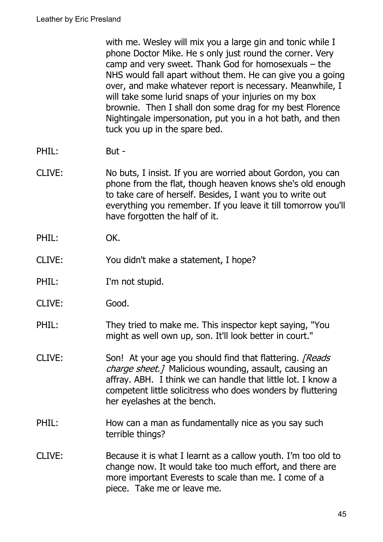with me. Wesley will mix you a large gin and tonic while I phone Doctor Mike. He s only just round the corner. Very camp and very sweet. Thank God for homosexuals – the NHS would fall apart without them. He can give you a going over, and make whatever report is necessary. Meanwhile, I will take some lurid snaps of your injuries on my box brownie. Then I shall don some drag for my best Florence Nightingale impersonation, put you in a hot bath, and then tuck you up in the spare bed.

- PHIL: But -
- CLIVE: No buts, I insist. If you are worried about Gordon, you can phone from the flat, though heaven knows she's old enough to take care of herself. Besides, I want you to write out everything you remember. If you leave it till tomorrow you'll have forgotten the half of it.
- PHIL: OK.
- CLIVE: You didn't make a statement, I hope?
- PHIL: I'm not stupid.
- CLIVE: Good.
- PHIL: They tried to make me. This inspector kept saying, "You might as well own up, son. It'll look better in court."
- CLIVE: Son! At your age you should find that flattering. [Reads] charge sheet.] Malicious wounding, assault, causing an affray. ABH. I think we can handle that little lot. I know a competent little solicitress who does wonders by fluttering her eyelashes at the bench.
- PHIL: How can a man as fundamentally nice as you say such terrible things?
- CLIVE: Because it is what I learnt as a callow youth. I'm too old to change now. It would take too much effort, and there are more important Everests to scale than me. I come of a piece. Take me or leave me.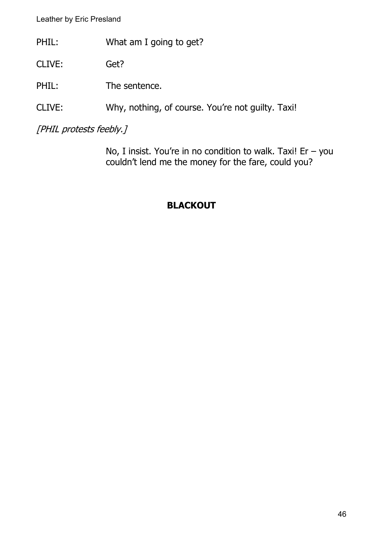- PHIL: What am I going to get?
- CLIVE: Get?
- PHIL: The sentence.
- CLIVE: Why, nothing, of course. You're not guilty. Taxi!

[PHIL protests feebly.]

No, I insist. You're in no condition to walk. Taxi! Er  $-$  you couldn't lend me the money for the fare, could you?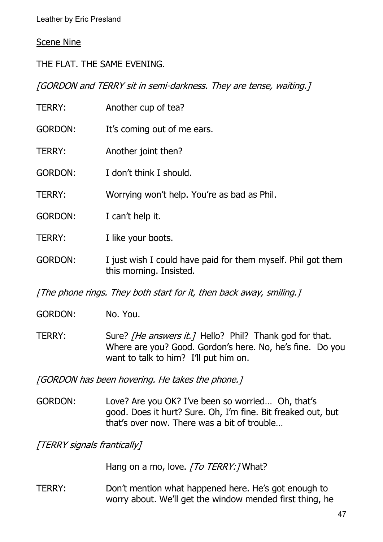#### Scene Nine

THE FLAT. THE SAME EVENING.

[GORDON and TERRY sit in semi-darkness. They are tense, waiting.]

| <b>TERRY:</b>  | Another cup of tea?                                                                     |
|----------------|-----------------------------------------------------------------------------------------|
| <b>GORDON:</b> | It's coming out of me ears.                                                             |
| <b>TERRY:</b>  | Another joint then?                                                                     |
| <b>GORDON:</b> | I don't think I should.                                                                 |
| <b>TERRY:</b>  | Worrying won't help. You're as bad as Phil.                                             |
| <b>GORDON:</b> | I can't help it.                                                                        |
| TERRY:         | I like your boots.                                                                      |
| <b>GORDON:</b> | I just wish I could have paid for them myself. Phil got them<br>this morning. Insisted. |
|                |                                                                                         |

[The phone rings. They both start for it, then back away, smiling.]

GORDON: No. You.

TERRY: Sure? [He answers it.] Hello? Phil? Thank god for that. Where are you? Good. Gordon's here. No, he's fine. Do you want to talk to him? I'll put him on.

[GORDON has been hovering. He takes the phone.]

GORDON: Love? Are you OK? I've been so worried… Oh, that's good. Does it hurt? Sure. Oh, I'm fine. Bit freaked out, but that's over now. There was a bit of trouble…

[TERRY signals frantically]

Hang on a mo, love. [To TERRY: ] What?

TERRY: Don't mention what happened here. He's got enough to worry about. We'll get the window mended first thing, he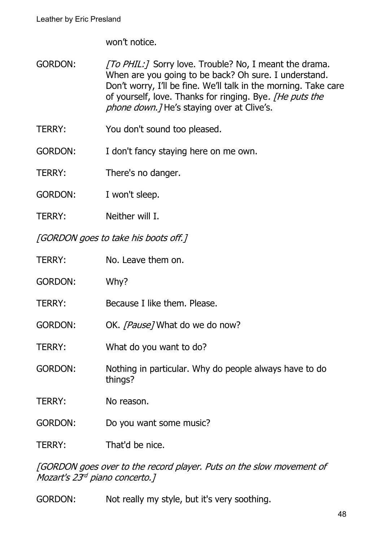won't notice.

- GORDON: [To PHIL:] Sorry love. Trouble? No, I meant the drama. When are you going to be back? Oh sure. I understand. Don't worry, I'll be fine. We'll talk in the morning. Take care of yourself, love. Thanks for ringing. Bye. [He puts the phone down. *J* He's staying over at Clive's.
- TERRY: You don't sound too pleased.
- GORDON: I don't fancy staying here on me own.
- TERRY: There's no danger.
- GORDON: I won't sleep.
- TERRY: Neither will I.

[GORDON goes to take his boots off.]

| TERRY:         | No. Leave them on.                                                |
|----------------|-------------------------------------------------------------------|
| <b>GORDON:</b> | Why?                                                              |
| TERRY:         | Because I like them. Please.                                      |
| <b>GORDON:</b> | OK. [Pause] What do we do now?                                    |
| TERRY:         | What do you want to do?                                           |
| <b>GORDON:</b> | Nothing in particular. Why do people always have to do<br>things? |
| TERRY:         | No reason.                                                        |
| <b>GORDON:</b> | Do you want some music?                                           |
| TERRY:         | That'd be nice.                                                   |

[GORDON goes over to the record player. Puts on the slow movement of Mozart's 23<sup>rd</sup> piano concerto.]

GORDON: Not really my style, but it's very soothing.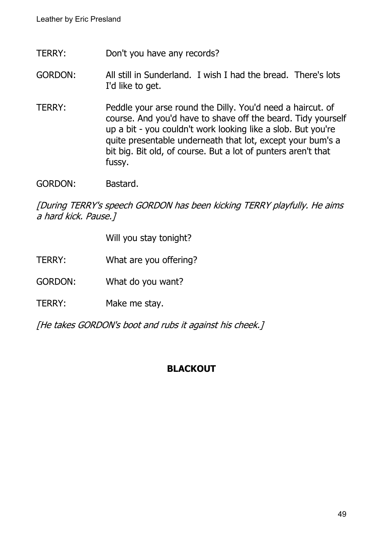- TERRY: Don't you have any records?
- GORDON: All still in Sunderland. I wish I had the bread. There's lots I'd like to get.
- TERRY: Peddle your arse round the Dilly. You'd need a haircut. of course. And you'd have to shave off the beard. Tidy yourself up a bit - you couldn't work looking like a slob. But you're quite presentable underneath that lot, except your bum's a bit big. Bit old, of course. But a lot of punters aren't that fussy.
- GORDON: Bastard.

[During TERRY's speech GORDON has been kicking TERRY playfully. He aims a hard kick. Pause.]

Will you stay tonight?

- TERRY: What are you offering?
- GORDON: What do you want?
- TERRY: Make me stay.

[He takes GORDON's boot and rubs it against his cheek.]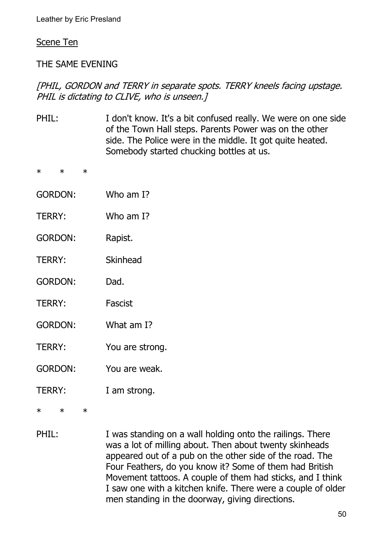#### Scene Ten

\* \* \*

#### THE SAME EVENING

## [PHIL, GORDON and TERRY in separate spots. TERRY kneels facing upstage. PHIL is dictating to CLIVE, who is unseen.

- PHIL: I don't know. It's a bit confused really. We were on one side of the Town Hall steps. Parents Power was on the other side. The Police were in the middle. It got quite heated. Somebody started chucking bottles at us. \* \* \* GORDON: Who am I? TERRY: Who am I? GORDON: Rapist. TERRY: Skinhead GORDON: Dad. TERRY: Fascist GORDON: What am I? TERRY: You are strong. GORDON: You are weak. TERRY: I am strong.
- PHIL: I was standing on a wall holding onto the railings. There was a lot of milling about. Then about twenty skinheads appeared out of a pub on the other side of the road. The Four Feathers, do you know it? Some of them had British Movement tattoos. A couple of them had sticks, and I think I saw one with a kitchen knife. There were a couple of older men standing in the doorway, giving directions.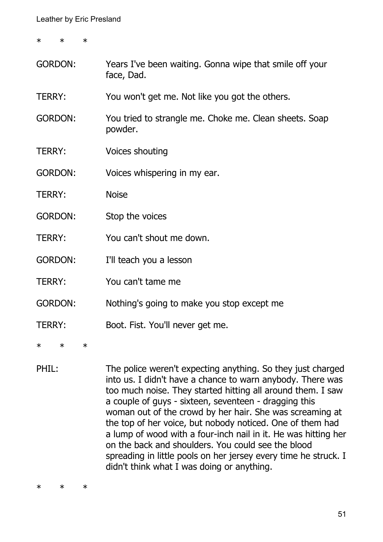\* \* \*

- GORDON: Years I've been waiting. Gonna wipe that smile off your face, Dad.
- TERRY: You won't get me. Not like you got the others.
- GORDON: You tried to strangle me. Choke me. Clean sheets. Soap powder.
- TERRY: Voices shouting
- GORDON: Voices whispering in my ear.
- TERRY: Noise
- GORDON: Stop the voices
- TERRY: You can't shout me down.
- GORDON: I'll teach you a lesson
- TERRY: You can't tame me
- GORDON: Nothing's going to make you stop except me
- TERRY: Boot. Fist. You'll never get me.
- \* \* \*
- PHIL: The police weren't expecting anything. So they just charged into us. I didn't have a chance to warn anybody. There was too much noise. They started hitting all around them. I saw a couple of guys - sixteen, seventeen - dragging this woman out of the crowd by her hair. She was screaming at the top of her voice, but nobody noticed. One of them had a lump of wood with a four-inch nail in it. He was hitting her on the back and shoulders. You could see the blood spreading in little pools on her jersey every time he struck. I didn't think what I was doing or anything.

\* \* \*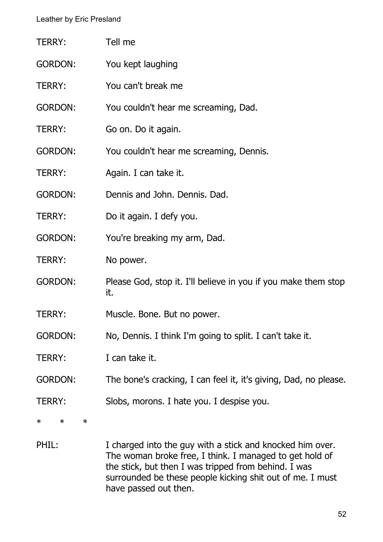| TERRY:                     | Tell me                                                               |
|----------------------------|-----------------------------------------------------------------------|
| <b>GORDON:</b>             | You kept laughing                                                     |
| TERRY:                     | You can't break me                                                    |
| <b>GORDON:</b>             | You couldn't hear me screaming, Dad.                                  |
| TERRY:                     | Go on. Do it again.                                                   |
| <b>GORDON:</b>             | You couldn't hear me screaming, Dennis.                               |
| <b>TERRY:</b>              | Again. I can take it.                                                 |
| <b>GORDON:</b>             | Dennis and John. Dennis. Dad.                                         |
| TERRY:                     | Do it again. I defy you.                                              |
| <b>GORDON:</b>             | You're breaking my arm, Dad.                                          |
| <b>TERRY:</b>              | No power.                                                             |
| <b>GORDON:</b>             | Please God, stop it. I'll believe in you if you make them stop<br>it. |
| <b>TERRY:</b>              | Muscle. Bone. But no power.                                           |
| GORDON:                    | No, Dennis. I think I'm going to split. I can't take it.              |
| <b>TERRY:</b>              | I can take it.                                                        |
| <b>GORDON:</b>             | The bone's cracking, I can feel it, it's giving, Dad, no please.      |
| TERRY:                     | Slobs, morons. I hate you. I despise you.                             |
| $\ast$<br>$\ast$<br>$\ast$ |                                                                       |
|                            |                                                                       |

PHIL: I charged into the guy with a stick and knocked him over. The woman broke free, I think. I managed to get hold of the stick, but then I was tripped from behind. I was surrounded be these people kicking shit out of me. I must have passed out then.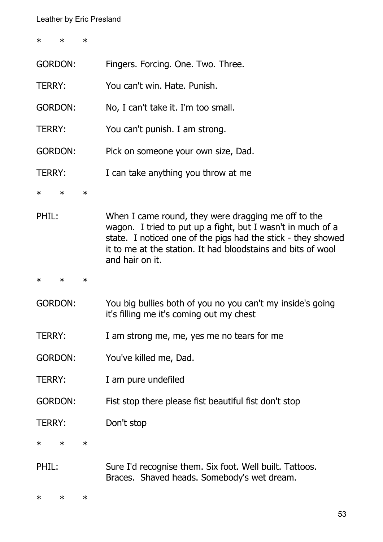\* \* \*

| <b>GORDON:</b> |        |        | Fingers. Forcing. One. Two. Three.                                                                                                                                                                                                                                    |
|----------------|--------|--------|-----------------------------------------------------------------------------------------------------------------------------------------------------------------------------------------------------------------------------------------------------------------------|
| <b>TERRY:</b>  |        |        | You can't win. Hate. Punish.                                                                                                                                                                                                                                          |
| <b>GORDON:</b> |        |        | No, I can't take it. I'm too small.                                                                                                                                                                                                                                   |
| <b>TERRY:</b>  |        |        | You can't punish. I am strong.                                                                                                                                                                                                                                        |
| <b>GORDON:</b> |        |        | Pick on someone your own size, Dad.                                                                                                                                                                                                                                   |
| TERRY:         |        |        | I can take anything you throw at me                                                                                                                                                                                                                                   |
| $\ast$         | $\ast$ | $\ast$ |                                                                                                                                                                                                                                                                       |
| PHIL:          |        |        | When I came round, they were dragging me off to the<br>wagon. I tried to put up a fight, but I wasn't in much of a<br>state. I noticed one of the pigs had the stick - they showed<br>it to me at the station. It had bloodstains and bits of wool<br>and hair on it. |
| $\ast$         | $\ast$ | $\ast$ |                                                                                                                                                                                                                                                                       |
| <b>GORDON:</b> |        |        | You big bullies both of you no you can't my inside's going<br>it's filling me it's coming out my chest                                                                                                                                                                |
| <b>TERRY:</b>  |        |        | I am strong me, me, yes me no tears for me                                                                                                                                                                                                                            |
| <b>GORDON:</b> |        |        | You've killed me, Dad.                                                                                                                                                                                                                                                |
| TERRY:         |        |        | I am pure undefiled                                                                                                                                                                                                                                                   |
| <b>GORDON:</b> |        |        | Fist stop there please fist beautiful fist don't stop                                                                                                                                                                                                                 |
| <b>TERRY:</b>  |        |        | Don't stop                                                                                                                                                                                                                                                            |
| ∗              | $\ast$ | $\ast$ |                                                                                                                                                                                                                                                                       |
| PHIL:          |        |        | Sure I'd recognise them. Six foot. Well built. Tattoos.<br>Braces. Shaved heads. Somebody's wet dream.                                                                                                                                                                |
| $\ast$         | $\ast$ | $\ast$ |                                                                                                                                                                                                                                                                       |

53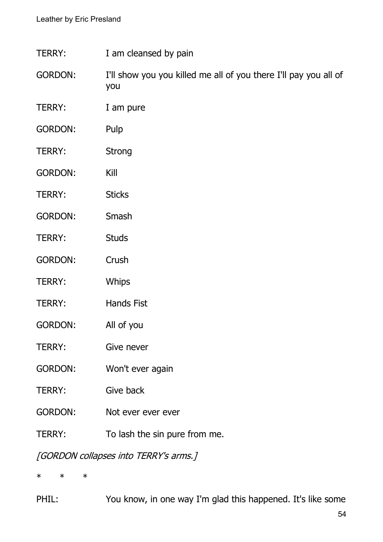- TERRY: I am cleansed by pain
- GORDON: I'll show you you killed me all of you there I'll pay you all of you
- TERRY: I am pure
- GORDON: Pulp
- TERRY: Strong
- GORDON: Kill
- TERRY: Sticks
- GORDON: Smash
- TERRY: Studs
- GORDON: Crush
- TERRY: Whips
- TERRY: Hands Fist
- GORDON: All of you
- TERRY: Give never
- GORDON: Won't ever again
- TERRY: Give back
- GORDON: Not ever ever ever
- TERRY: To lash the sin pure from me.

[GORDON collapses into TERRY's arms.]

\* \* \*

PHIL: You know, in one way I'm glad this happened. It's like some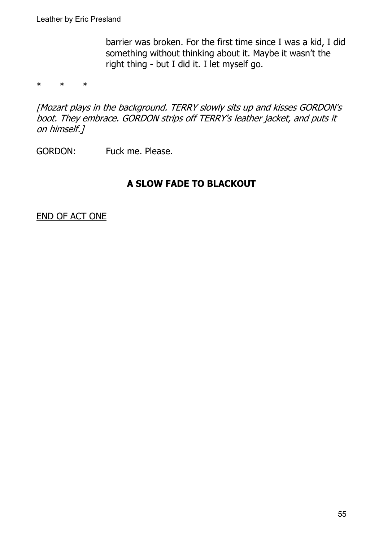barrier was broken. For the first time since I was a kid, I did something without thinking about it. Maybe it wasn't the right thing - but I did it. I let myself go.

\* \* \*

[Mozart plays in the background. TERRY slowly sits up and kisses GORDON's boot. They embrace. GORDON strips off TERRY's leather jacket, and puts it on himself.]

GORDON: Fuck me. Please.

## **A SLOW FADE TO BLACKOUT**

END OF ACT ONE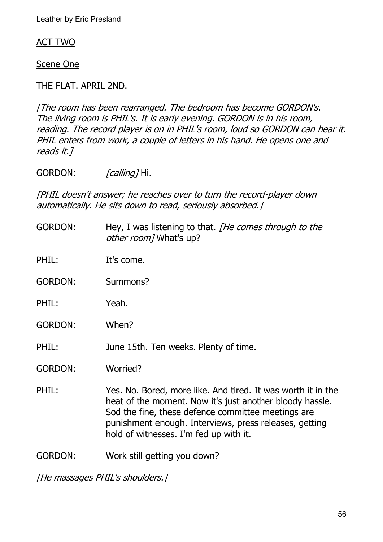#### ACT TWO

Scene One

THE FLAT. APRIL 2ND.

[The room has been rearranged. The bedroom has become GORDON's. The living room is PHIL's. It is early evening. GORDON is in his room, reading. The record player is on in PHIL's room, loud so GORDON can hear it. PHIL enters from work, a couple of letters in his hand. He opens one and reads it.]

GORDON: *[calling]* Hi.

[PHIL doesn't answer; he reaches over to turn the record-player down automatically. He sits down to read, seriously absorbed.]

GORDON: Hey, I was listening to that. *[He comes through to the* other room] What's up?

PHIL: It's come.

GORDON: Summons?

- PHIL: Yeah.
- GORDON: When?
- PHIL: June 15th. Ten weeks. Plenty of time.

GORDON: Worried?

PHIL: Yes. No. Bored, more like. And tired. It was worth it in the heat of the moment. Now it's just another bloody hassle. Sod the fine, these defence committee meetings are punishment enough. Interviews, press releases, getting hold of witnesses. I'm fed up with it.

GORDON: Work still getting you down?

[He massages PHIL's shoulders.]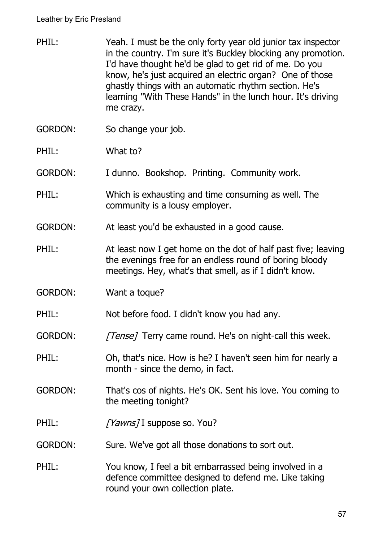- PHIL: Yeah. I must be the only forty year old junior tax inspector in the country. I'm sure it's Buckley blocking any promotion. I'd have thought he'd be glad to get rid of me. Do you know, he's just acquired an electric organ? One of those ghastly things with an automatic rhythm section. He's learning "With These Hands" in the lunch hour. It's driving me crazy.
- GORDON: So change your job.
- PHIL: What to?

GORDON: I dunno. Bookshop. Printing. Community work.

PHIL: Which is exhausting and time consuming as well. The community is a lousy employer.

GORDON: At least you'd be exhausted in a good cause.

- PHIL: At least now I get home on the dot of half past five; leaving the evenings free for an endless round of boring bloody meetings. Hey, what's that smell, as if I didn't know.
- GORDON: Want a toque?

PHIL: Not before food. I didn't know you had any.

- GORDON: [Tense] Terry came round. He's on night-call this week.
- PHIL: Oh, that's nice. How is he? I haven't seen him for nearly a month - since the demo, in fact.
- GORDON: That's cos of nights. He's OK. Sent his love. You coming to the meeting tonight?
- PHIL: [Yawns] I suppose so. You?
- GORDON: Sure. We've got all those donations to sort out.
- PHIL: You know, I feel a bit embarrassed being involved in a defence committee designed to defend me. Like taking round your own collection plate.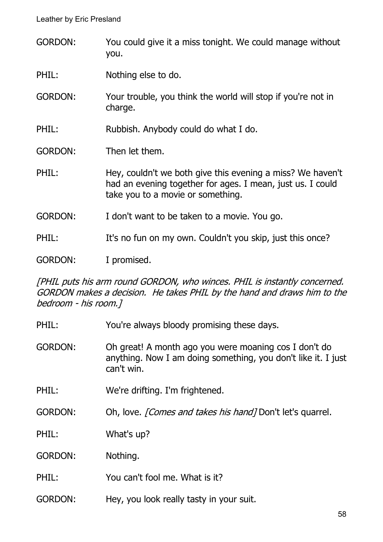GORDON: You could give it a miss tonight. We could manage without you.

PHIL: Nothing else to do.

GORDON: Your trouble, you think the world will stop if you're not in charge.

PHIL: Rubbish. Anybody could do what I do.

GORDON: Then let them.

PHIL: Hey, couldn't we both give this evening a miss? We haven't had an evening together for ages. I mean, just us. I could take you to a movie or something.

GORDON: I don't want to be taken to a movie. You go.

PHIL: It's no fun on my own. Couldn't you skip, just this once?

GORDON: I promised.

[PHIL puts his arm round GORDON, who winces. PHIL is instantly concerned. GORDON makes a decision. He takes PHIL by the hand and draws him to the bedroom - his room.]

PHIL: You're always bloody promising these days.

GORDON: Oh great! A month ago you were moaning cos I don't do anything. Now I am doing something, you don't like it. I just can't win.

PHIL: We're drifting. I'm frightened.

GORDON: Oh, love. *[Comes and takes his hand]* Don't let's quarrel.

PHIL: What's up?

GORDON: Nothing.

PHIL: You can't fool me. What is it?

GORDON: Hey, you look really tasty in your suit.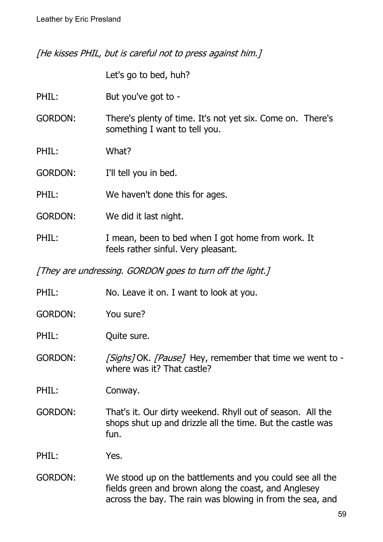[He kisses PHIL, but is careful not to press against him.]

|                | Let's go to bed, huh?                                                                                                            |
|----------------|----------------------------------------------------------------------------------------------------------------------------------|
| PHIL:          | But you've got to -                                                                                                              |
| <b>GORDON:</b> | There's plenty of time. It's not yet six. Come on. There's<br>something I want to tell you.                                      |
| PHIL:          | What?                                                                                                                            |
| <b>GORDON:</b> | I'll tell you in bed.                                                                                                            |
| PHIL:          | We haven't done this for ages.                                                                                                   |
| <b>GORDON:</b> | We did it last night.                                                                                                            |
| PHIL:          | I mean, been to bed when I got home from work. It<br>feels rather sinful. Very pleasant.                                         |
|                | [They are undressing. GORDON goes to turn off the light.]                                                                        |
| PHIL:          | No. Leave it on. I want to look at you.                                                                                          |
| <b>GORDON:</b> | You sure?                                                                                                                        |
| PHIL:          | Quite sure.                                                                                                                      |
| <b>GORDON:</b> | [Sighs] OK. [Pause] Hey, remember that time we went to -<br>where was it? That castle?                                           |
| PHIL:          | Conway.                                                                                                                          |
| <b>GORDON:</b> | That's it. Our dirty weekend. Rhyll out of season. All the<br>shops shut up and drizzle all the time. But the castle was<br>fun. |
| PHIL:          | Yes.                                                                                                                             |
| <b>GORDON:</b> | We stood up on the battlements and you could see all the<br>fields green and brown along the coast, and Anglesey                 |

across the bay. The rain was blowing in from the sea, and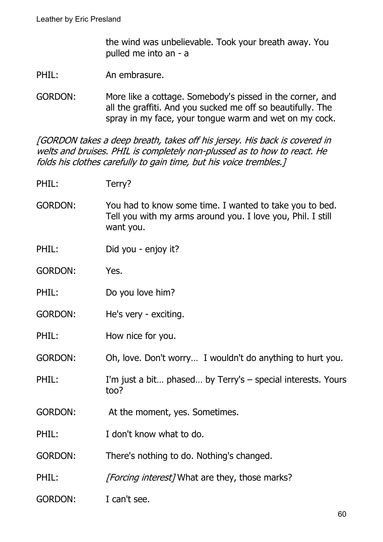the wind was unbelievable. Took your breath away. You pulled me into an - a

PHIL: An embrasure.

GORDON: More like a cottage. Somebody's pissed in the corner, and all the graffiti. And you sucked me off so beautifully. The spray in my face, your tongue warm and wet on my cock.

[GORDON takes a deep breath, takes off his jersey. His back is covered in welts and bruises. PHIL is completely non-plussed as to how to react. He folds his clothes carefully to gain time, but his voice trembles.]

- PHIL: Terry?
- GORDON: You had to know some time. I wanted to take you to bed. Tell you with my arms around you. I love you, Phil. I still want you.
- PHIL: Did you enjoy it?
- GORDON: Yes.
- PHIL: Do you love him?
- GORDON: He's very exciting.
- PHIL: How nice for you.
- GORDON: Oh, love. Don't worry… I wouldn't do anything to hurt you.
- PHIL: I'm just a bit... phased... by Terry's special interests. Yours too?
- GORDON: At the moment, yes. Sometimes.
- PHIL: I don't know what to do.
- GORDON: There's nothing to do. Nothing's changed.
- PHIL: *[Forcing interest]* What are they, those marks?
- GORDON: I can't see.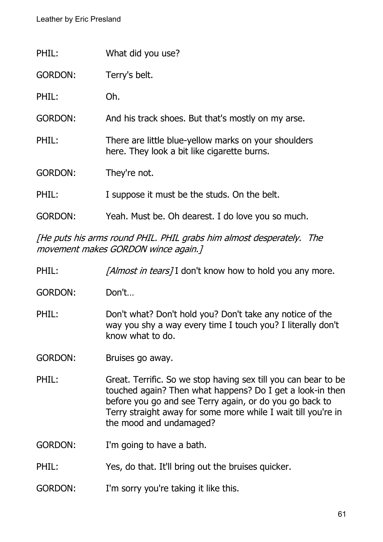| PHIL:          | What did you use?                                                                                   |
|----------------|-----------------------------------------------------------------------------------------------------|
| <b>GORDON:</b> | Terry's belt.                                                                                       |
| PHIL:          | Oh.                                                                                                 |
| <b>GORDON:</b> | And his track shoes. But that's mostly on my arse.                                                  |
| PHIL:          | There are little blue-yellow marks on your shoulders<br>here. They look a bit like cigarette burns. |
| <b>GORDON:</b> | They're not.                                                                                        |
| PHIL:          | I suppose it must be the studs. On the belt.                                                        |
| GORDON:        | Yeah. Must be. Oh dearest. I do love you so much.                                                   |

[He puts his arms round PHIL. PHIL grabs him almost desperately. The movement makes GORDON wince again.]

- PHIL: [Almost in tears] I don't know how to hold you any more.
- GORDON: Don't…

PHIL: Don't what? Don't hold you? Don't take any notice of the way you shy a way every time I touch you? I literally don't know what to do.

GORDON: Bruises go away.

PHIL: Great. Terrific. So we stop having sex till you can bear to be touched again? Then what happens? Do I get a look-in then before you go and see Terry again, or do you go back to Terry straight away for some more while I wait till you're in the mood and undamaged?

GORDON: I'm going to have a bath.

- PHIL: Yes, do that. It'll bring out the bruises quicker.
- GORDON: I'm sorry you're taking it like this.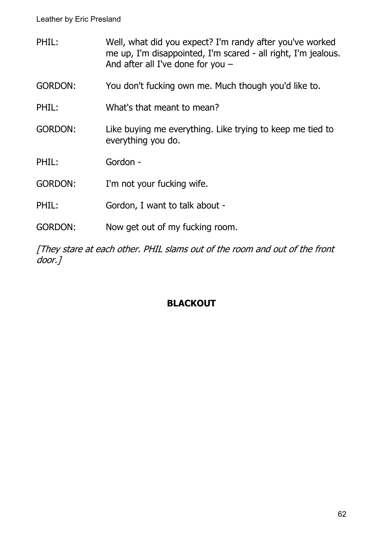PHIL: Well, what did you expect? I'm randy after you've worked me up, I'm disappointed, I'm scared - all right, I'm jealous. And after all I've done for you – GORDON: You don't fucking own me. Much though you'd like to. PHIL: What's that meant to mean? GORDON: Like buying me everything. Like trying to keep me tied to everything you do. PHIL: Gordon - GORDON: I'm not your fucking wife. PHIL: Gordon, I want to talk about -GORDON: Now get out of my fucking room.

[They stare at each other. PHIL slams out of the room and out of the front door. 1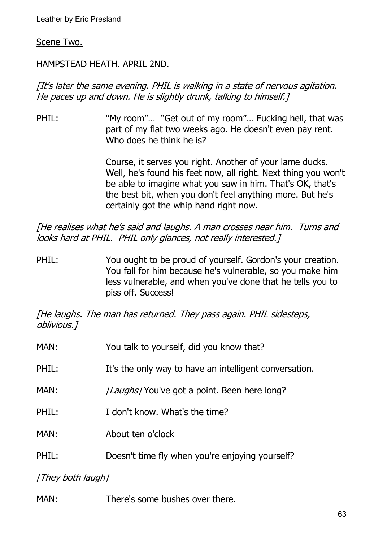#### Scene Two.

## HAMPSTEAD HEATH. APRIL 2ND.

## [It's later the same evening. PHIL is walking in a state of nervous agitation. He paces up and down. He is slightly drunk, talking to himself.]

PHIL: "My room"... "Get out of my room"... Fucking hell, that was part of my flat two weeks ago. He doesn't even pay rent. Who does he think he is?

> Course, it serves you right. Another of your lame ducks. Well, he's found his feet now, all right. Next thing you won't be able to imagine what you saw in him. That's OK, that's the best bit, when you don't feel anything more. But he's certainly got the whip hand right now.

[He realises what he's said and laughs. A man crosses near him. Turns and looks hard at PHIL. PHIL only glances, not really interested.

PHIL: You ought to be proud of yourself. Gordon's your creation. You fall for him because he's vulnerable, so you make him less vulnerable, and when you've done that he tells you to piss off. Success!

[He laughs. The man has returned. They pass again. PHIL sidesteps, oblivious.]

| MAN:  | You talk to yourself, did you know that?               |
|-------|--------------------------------------------------------|
| PHIL: | It's the only way to have an intelligent conversation. |
| MAN:  | <i>[Laughs]</i> You've got a point. Been here long?    |
| PHIL: | I don't know. What's the time?                         |
| MAN:  | About ten o'clock                                      |
| PHIL: | Doesn't time fly when you're enjoying yourself?        |
|       |                                                        |

[They both laugh]

MAN: There's some bushes over there.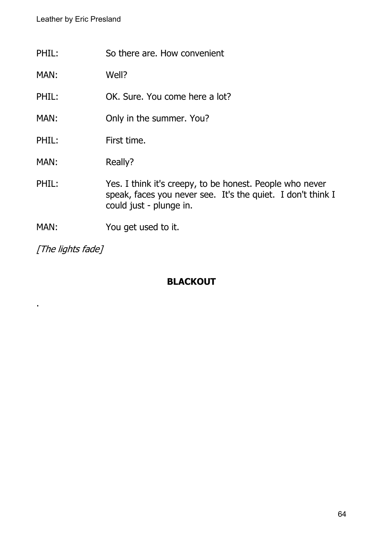| PHIL: | So there are. How convenient                                                                                                                       |
|-------|----------------------------------------------------------------------------------------------------------------------------------------------------|
| MAN:  | Well?                                                                                                                                              |
| PHIL: | OK. Sure. You come here a lot?                                                                                                                     |
| MAN:  | Only in the summer. You?                                                                                                                           |
| PHIL: | First time.                                                                                                                                        |
| MAN:  | Really?                                                                                                                                            |
| PHIL: | Yes. I think it's creepy, to be honest. People who never<br>speak, faces you never see. It's the quiet. I don't think I<br>could just - plunge in. |
| MAN:  | You get used to it.                                                                                                                                |

[The lights fade]

.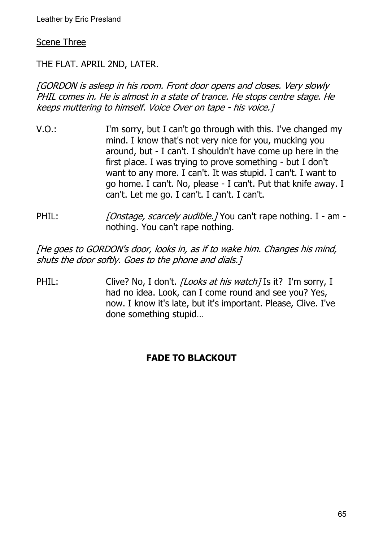#### **Scene Three**

THE FLAT. APRIL 2ND, LATER.

[GORDON is asleep in his room. Front door opens and closes. Very slowly PHIL comes in. He is almost in a state of trance. He stops centre stage. He keeps muttering to himself. Voice Over on tape - his voice.]

- V.O.: I'm sorry, but I can't go through with this. I've changed my mind. I know that's not very nice for you, mucking you around, but - I can't. I shouldn't have come up here in the first place. I was trying to prove something - but I don't want to any more. I can't. It was stupid. I can't. I want to go home. I can't. No, please - I can't. Put that knife away. I can't. Let me go. I can't. I can't. I can't.
- PHIL: [Onstage, scarcely audible.] You can't rape nothing. I am nothing. You can't rape nothing.

[He goes to GORDON's door, looks in, as if to wake him. Changes his mind, shuts the door softly. Goes to the phone and dials.]

PHIL: Clive? No, I don't. *[Looks at his watch]* Is it? I'm sorry, I had no idea. Look, can I come round and see you? Yes, now. I know it's late, but it's important. Please, Clive. I've done something stupid…

#### **FADE TO BLACKOUT**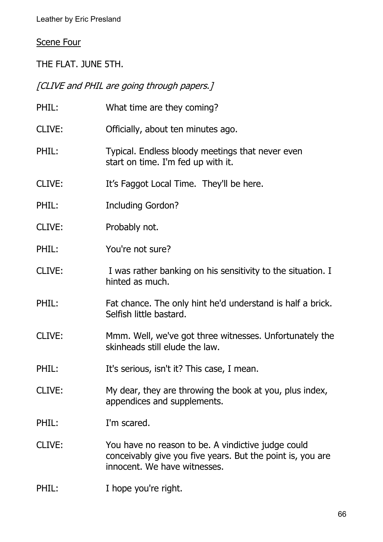# Scene Four

THE FLAT. JUNE 5TH.

[CLIVE and PHIL are going through papers.]

| PHIL:  | What time are they coming?                                                                                                                       |
|--------|--------------------------------------------------------------------------------------------------------------------------------------------------|
| CLIVE: | Officially, about ten minutes ago.                                                                                                               |
| PHIL:  | Typical. Endless bloody meetings that never even<br>start on time. I'm fed up with it.                                                           |
| CLIVE: | It's Faggot Local Time. They'll be here.                                                                                                         |
| PHIL:  | <b>Including Gordon?</b>                                                                                                                         |
| CLIVE: | Probably not.                                                                                                                                    |
| PHIL:  | You're not sure?                                                                                                                                 |
| CLIVE: | I was rather banking on his sensitivity to the situation. I<br>hinted as much.                                                                   |
| PHIL:  | Fat chance. The only hint he'd understand is half a brick.<br>Selfish little bastard.                                                            |
| CLIVE: | Mmm. Well, we've got three witnesses. Unfortunately the<br>skinheads still elude the law.                                                        |
| PHIL:  | It's serious, isn't it? This case, I mean.                                                                                                       |
| CLIVE: | My dear, they are throwing the book at you, plus index,<br>appendices and supplements.                                                           |
| PHIL:  | I'm scared.                                                                                                                                      |
| CLIVE: | You have no reason to be. A vindictive judge could<br>conceivably give you five years. But the point is, you are<br>innocent. We have witnesses. |

# PHIL: I hope you're right.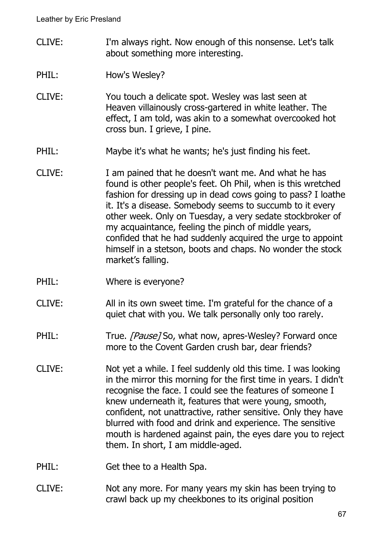- CLIVE: I'm always right. Now enough of this nonsense. Let's talk about something more interesting.
- PHIL: How's Wesley?
- CLIVE: You touch a delicate spot. Wesley was last seen at Heaven villainously cross-gartered in white leather. The effect, I am told, was akin to a somewhat overcooked hot cross bun. I grieve, I pine.
- PHIL: Maybe it's what he wants; he's just finding his feet.
- CLIVE: I am pained that he doesn't want me. And what he has found is other people's feet. Oh Phil, when is this wretched fashion for dressing up in dead cows going to pass? I loathe it. It's a disease. Somebody seems to succumb to it every other week. Only on Tuesday, a very sedate stockbroker of my acquaintance, feeling the pinch of middle years, confided that he had suddenly acquired the urge to appoint himself in a stetson, boots and chaps. No wonder the stock market's falling.
- PHIL: Where is everyone?
- CLIVE: All in its own sweet time. I'm grateful for the chance of a quiet chat with you. We talk personally only too rarely.
- PHIL: True. [Pause] So, what now, apres-Wesley? Forward once more to the Covent Garden crush bar, dear friends?
- CLIVE: Not yet a while. I feel suddenly old this time. I was looking in the mirror this morning for the first time in years. I didn't recognise the face. I could see the features of someone I knew underneath it, features that were young, smooth, confident, not unattractive, rather sensitive. Only they have blurred with food and drink and experience. The sensitive mouth is hardened against pain, the eyes dare you to reject them. In short, I am middle-aged.
- PHIL: Get thee to a Health Spa.
- CLIVE: Not any more. For many years my skin has been trying to crawl back up my cheekbones to its original position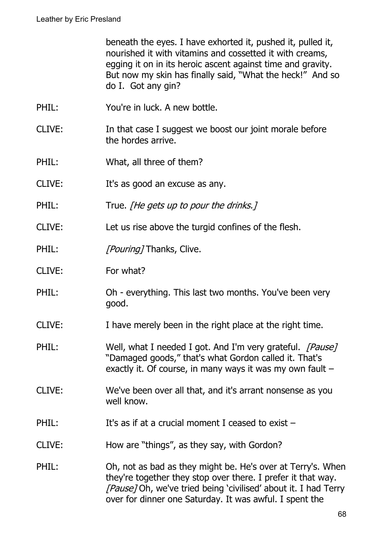beneath the eyes. I have exhorted it, pushed it, pulled it, nourished it with vitamins and cossetted it with creams, egging it on in its heroic ascent against time and gravity. But now my skin has finally said, "What the heck!" And so do I. Got any gin?

- PHIL: You're in luck. A new bottle.
- CLIVE: In that case I suggest we boost our joint morale before the hordes arrive.
- PHIL: What, all three of them?
- CLIVE: It's as good an excuse as any.
- PHIL: True. *[He gets up to pour the drinks.]*
- CLIVE: Let us rise above the turgid confines of the flesh.
- PHIL: [Pouring] Thanks, Clive.
- CLIVE: For what?
- PHIL: Oh everything. This last two months. You've been very good.
- CLIVE: I have merely been in the right place at the right time.
- PHIL: Well, what I needed I got. And I'm very grateful. [Pause] "Damaged goods," that's what Gordon called it. That's exactly it. Of course, in many ways it was my own fault  $-$
- CLIVE: We've been over all that, and it's arrant nonsense as you well know.
- PHIL: It's as if at a crucial moment I ceased to exist –
- CLIVE: How are "things", as they say, with Gordon?
- PHIL: Oh, not as bad as they might be. He's over at Terry's. When they're together they stop over there. I prefer it that way. [Pause] Oh, we've tried being 'civilised' about it. I had Terry over for dinner one Saturday. It was awful. I spent the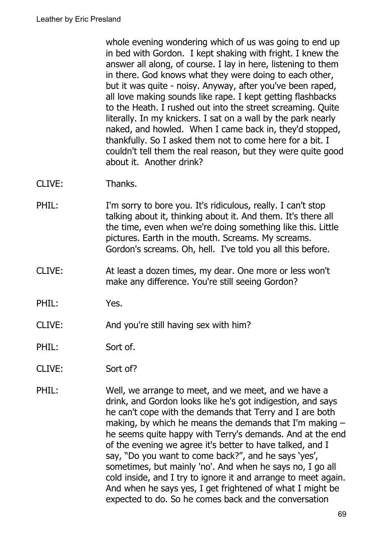whole evening wondering which of us was going to end up in bed with Gordon. I kept shaking with fright. I knew the answer all along, of course. I lay in here, listening to them in there. God knows what they were doing to each other, but it was quite - noisy. Anyway, after you've been raped, all love making sounds like rape. I kept getting flashbacks to the Heath. I rushed out into the street screaming. Quite literally. In my knickers. I sat on a wall by the park nearly naked, and howled. When I came back in, they'd stopped, thankfully. So I asked them not to come here for a bit. I couldn't tell them the real reason, but they were quite good about it. Another drink?

- CLIVE: Thanks.
- PHIL: I'm sorry to bore you. It's ridiculous, really. I can't stop talking about it, thinking about it. And them. It's there all the time, even when we're doing something like this. Little pictures. Earth in the mouth. Screams. My screams. Gordon's screams. Oh, hell. I've told you all this before.
- CLIVE: At least a dozen times, my dear. One more or less won't make any difference. You're still seeing Gordon?
- PHIL: Yes.
- CLIVE: And you're still having sex with him?
- PHIL: Sort of.
- CLIVE: Sort of?
- PHIL: Well, we arrange to meet, and we meet, and we have a drink, and Gordon looks like he's got indigestion, and says he can't cope with the demands that Terry and I are both making, by which he means the demands that I'm making – he seems quite happy with Terry's demands. And at the end of the evening we agree it's better to have talked, and I say, "Do you want to come back?", and he says 'yes', sometimes, but mainly 'no'. And when he says no, I go all cold inside, and I try to ignore it and arrange to meet again. And when he says yes, I get frightened of what I might be expected to do. So he comes back and the conversation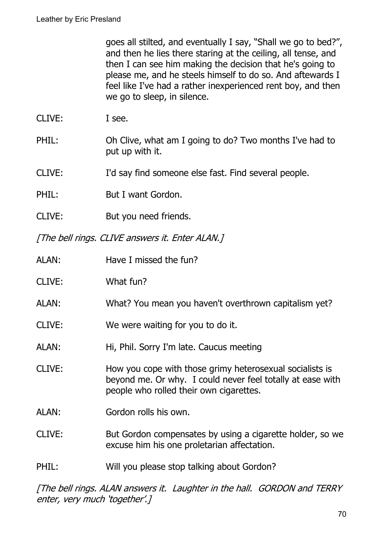goes all stilted, and eventually I say, "Shall we go to bed?", and then he lies there staring at the ceiling, all tense, and then I can see him making the decision that he's going to please me, and he steels himself to do so. And aftewards I feel like I've had a rather inexperienced rent boy, and then we go to sleep, in silence.

- CLIVE: I see.
- PHIL: Oh Clive, what am I going to do? Two months I've had to put up with it.
- CLIVE: I'd say find someone else fast. Find several people.
- PHIL: But I want Gordon.
- CLIVE: But you need friends.

[The bell rings. CLIVE answers it. Enter ALAN.]

| ALAN:  | Have I missed the fun?                                                                                                                                            |
|--------|-------------------------------------------------------------------------------------------------------------------------------------------------------------------|
| CLIVE: | What fun?                                                                                                                                                         |
| ALAN:  | What? You mean you haven't overthrown capitalism yet?                                                                                                             |
| CLIVE: | We were waiting for you to do it.                                                                                                                                 |
| ALAN:  | Hi, Phil. Sorry I'm late. Caucus meeting                                                                                                                          |
| CLIVE: | How you cope with those grimy heterosexual socialists is<br>beyond me. Or why. I could never feel totally at ease with<br>people who rolled their own cigarettes. |
| ALAN:  | Gordon rolls his own.                                                                                                                                             |
| CLIVE: | But Gordon compensates by using a cigarette holder, so we<br>excuse him his one proletarian affectation.                                                          |
| PHIL:  | Will you please stop talking about Gordon?                                                                                                                        |
|        |                                                                                                                                                                   |

[The bell rings. ALAN answers it. Laughter in the hall. GORDON and TERRY enter, very much 'together'.]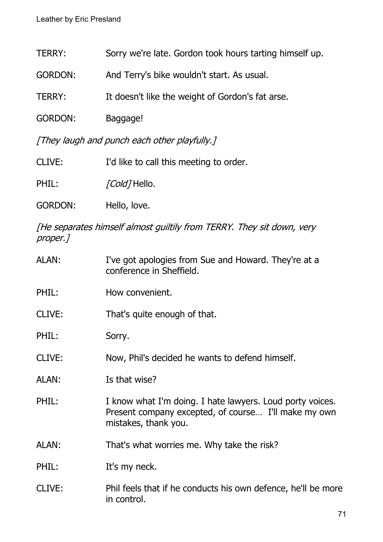| TERRY:                                       | Sorry we're late. Gordon took hours tarting himself up. |  |
|----------------------------------------------|---------------------------------------------------------|--|
| <b>GORDON:</b>                               | And Terry's bike wouldn't start. As usual.              |  |
| TERRY:                                       | It doesn't like the weight of Gordon's fat arse.        |  |
| <b>GORDON:</b>                               | Baggage!                                                |  |
| [They laugh and punch each other playfully.] |                                                         |  |

CLIVE: I'd like to call this meeting to order.

PHIL: [Cold] Hello.

GORDON: Hello, love.

[He separates himself almost guiltily from TERRY. They sit down, very proper.]

| ALAN:        | I've got apologies from Sue and Howard. They're at a<br>conference in Sheffield.                                                          |
|--------------|-------------------------------------------------------------------------------------------------------------------------------------------|
| PHIL:        | How convenient.                                                                                                                           |
| CLIVE:       | That's quite enough of that.                                                                                                              |
| PHIL:        | Sorry.                                                                                                                                    |
| CLIVE:       | Now, Phil's decided he wants to defend himself.                                                                                           |
| <b>ALAN:</b> | Is that wise?                                                                                                                             |
| PHIL:        | I know what I'm doing. I hate lawyers. Loud porty voices.<br>Present company excepted, of course I'll make my own<br>mistakes, thank you. |
| ALAN:        | That's what worries me. Why take the risk?                                                                                                |
| PHIL:        | It's my neck.                                                                                                                             |
| CLIVE:       | Phil feels that if he conducts his own defence, he'll be more<br>in control.                                                              |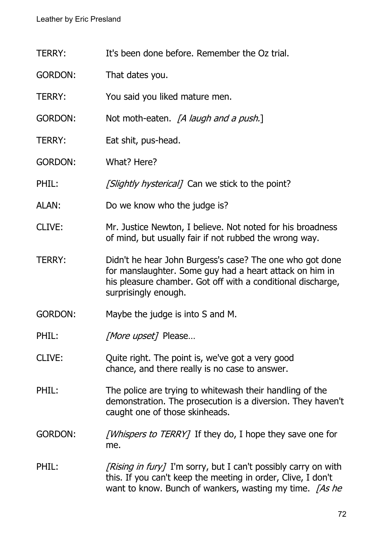- TERRY: It's been done before. Remember the Oz trial.
- GORDON: That dates you.
- TERRY: You said you liked mature men.
- GORDON: Not moth-eaten. *[A laugh and a push.*]
- TERRY: Eat shit, pus-head.
- GORDON: What? Here?
- PHIL: [Slightly hysterical] Can we stick to the point?
- ALAN: Do we know who the judge is?
- CLIVE: Mr. Justice Newton, I believe. Not noted for his broadness of mind, but usually fair if not rubbed the wrong way.
- TERRY: Didn't he hear John Burgess's case? The one who got done for manslaughter. Some guy had a heart attack on him in his pleasure chamber. Got off with a conditional discharge, surprisingly enough.
- GORDON: Maybe the judge is into S and M.
- PHIL: [More upset] Please...
- CLIVE: Quite right. The point is, we've got a very good chance, and there really is no case to answer.
- PHIL: The police are trying to whitewash their handling of the demonstration. The prosecution is a diversion. They haven't caught one of those skinheads.
- GORDON: *[Whispers to TERRY]* If they do, I hope they save one for me.
- PHIL:  $[Rising in fury]$  I'm sorry, but I can't possibly carry on with this. If you can't keep the meeting in order, Clive, I don't want to know. Bunch of wankers, wasting my time.  $\int A s$  he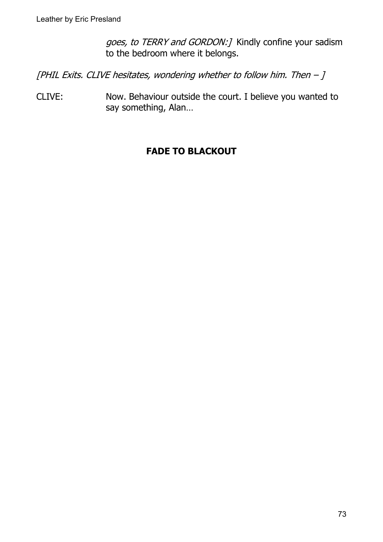goes, to TERRY and GORDON:] Kindly confine your sadism to the bedroom where it belongs.

[PHIL Exits. CLIVE hesitates, wondering whether to follow him. Then  $-J$ 

CLIVE: Now. Behaviour outside the court. I believe you wanted to say something, Alan…

# **FADE TO BLACKOUT**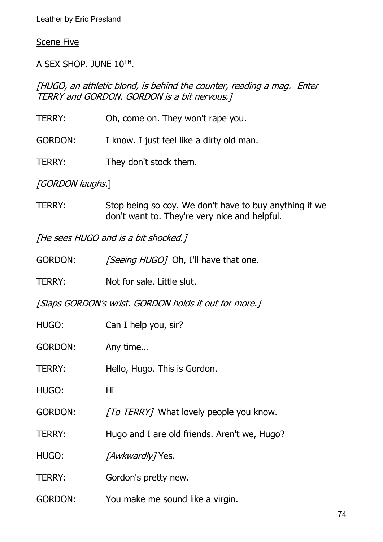#### Scene Five

A SEX SHOP. JUNE  $10^{TH}$ .

[HUGO, an athletic blond, is behind the counter, reading a mag. Enter TERRY and GORDON. GORDON is a bit nervous.]

| TERRY:           | Oh, come on. They won't rape you.                      |
|------------------|--------------------------------------------------------|
| <b>GORDON:</b>   | I know. I just feel like a dirty old man.              |
| TERRY:           | They don't stock them.                                 |
| [GORDON laughs.] |                                                        |
| TCDDV.           | $C$ tan baing so soul $M_2$ don't boug to buy anything |

TERRY: Stop being so coy. We don't have to buy anything if we don't want to. They're very nice and helpful.

[He sees HUGO and is a bit shocked.]

| <b>GORDON:</b> |  | [Seeing HUGO] Oh, I'll have that one. |
|----------------|--|---------------------------------------|
|                |  |                                       |

TERRY: Not for sale. Little slut.

[Slaps GORDON's wrist. GORDON holds it out for more.]

| HUGO:          | Can I help you, sir?                         |
|----------------|----------------------------------------------|
| <b>GORDON:</b> | Any time                                     |
| TERRY:         | Hello, Hugo. This is Gordon.                 |
| HUGO:          | Hi                                           |
| <b>GORDON:</b> | [To TERRY] What lovely people you know.      |
| TERRY:         | Hugo and I are old friends. Aren't we, Hugo? |
| HUGO:          | <i>[Awkwardly]</i> Yes.                      |
| <b>TERRY:</b>  | Gordon's pretty new.                         |
| <b>GORDON:</b> | You make me sound like a virgin.             |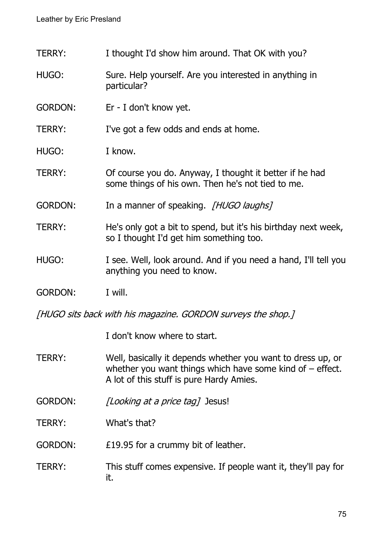TERRY: I thought I'd show him around. That OK with you?

- HUGO: Sure. Help yourself. Are you interested in anything in particular?
- GORDON: Er I don't know yet.

TERRY: I've got a few odds and ends at home.

- HUGO: I know.
- TERRY: Of course you do. Anyway, I thought it better if he had some things of his own. Then he's not tied to me.
- GORDON: In a manner of speaking. [HUGO laughs]
- TERRY: He's only got a bit to spend, but it's his birthday next week, so I thought I'd get him something too.
- HUGO: I see. Well, look around. And if you need a hand, I'll tell you anything you need to know.
- GORDON: I will.

[HUGO sits back with his magazine. GORDON surveys the shop.]

I don't know where to start.

- TERRY: Well, basically it depends whether you want to dress up, or whether you want things which have some kind of  $-$  effect. A lot of this stuff is pure Hardy Amies.
- GORDON: [Looking at a price tag] Jesus!
- TERRY: What's that?

GORDON: £19.95 for a crummy bit of leather.

TERRY: This stuff comes expensive. If people want it, they'll pay for it.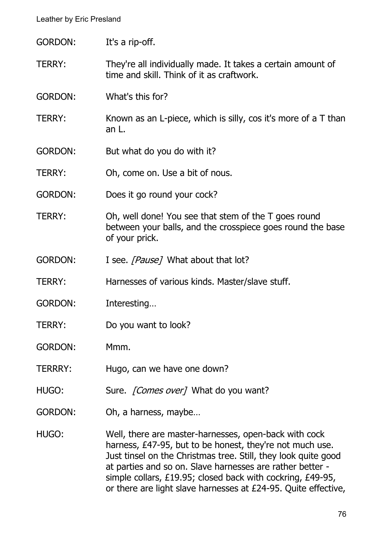| <b>GORDON:</b> | It's a rip-off.                                                                                                                                                                                                                                  |
|----------------|--------------------------------------------------------------------------------------------------------------------------------------------------------------------------------------------------------------------------------------------------|
| TERRY:         | They're all individually made. It takes a certain amount of<br>time and skill. Think of it as craftwork.                                                                                                                                         |
| <b>GORDON:</b> | What's this for?                                                                                                                                                                                                                                 |
| TERRY:         | Known as an L-piece, which is silly, cos it's more of a T than<br>an L.                                                                                                                                                                          |
| <b>GORDON:</b> | But what do you do with it?                                                                                                                                                                                                                      |
| <b>TERRY:</b>  | Oh, come on. Use a bit of nous.                                                                                                                                                                                                                  |
| <b>GORDON:</b> | Does it go round your cock?                                                                                                                                                                                                                      |
| <b>TERRY:</b>  | Oh, well done! You see that stem of the T goes round<br>between your balls, and the crosspiece goes round the base<br>of your prick.                                                                                                             |
| <b>GORDON:</b> | I see. [Pause] What about that lot?                                                                                                                                                                                                              |
| <b>TERRY:</b>  | Harnesses of various kinds. Master/slave stuff.                                                                                                                                                                                                  |
| <b>GORDON:</b> | Interesting                                                                                                                                                                                                                                      |
| <b>TERRY:</b>  | Do you want to look?                                                                                                                                                                                                                             |
| <b>GORDON:</b> | Mmm.                                                                                                                                                                                                                                             |
| <b>TERRRY:</b> | Hugo, can we have one down?                                                                                                                                                                                                                      |
| HUGO:          | Sure. <i>[Comes over]</i> What do you want?                                                                                                                                                                                                      |
| <b>GORDON:</b> | Oh, a harness, maybe                                                                                                                                                                                                                             |
| HUGO:          | Well, there are master-harnesses, open-back with cock<br>harness, £47-95, but to be honest, they're not much use.<br>Just tinsel on the Christmas tree. Still, they look quite good<br>at parties and so on. Slave harnesses are rather better - |

simple collars, £19.95; closed back with cockring, £49-95, or there are light slave harnesses at £24-95. Quite effective,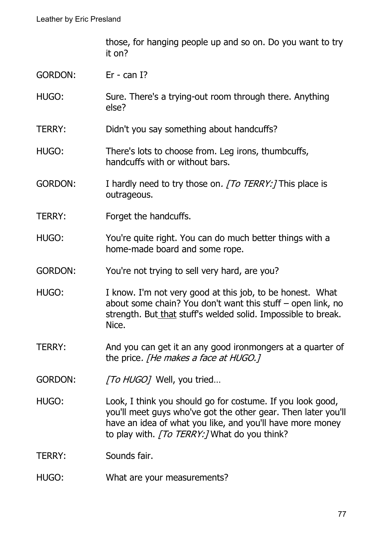those, for hanging people up and so on. Do you want to try it on?

- GORDON: Er can I?
- HUGO: Sure. There's a trying-out room through there. Anything else?
- TERRY: Didn't you say something about handcuffs?
- HUGO: There's lots to choose from. Leg irons, thumbcuffs, handcuffs with or without bars.
- GORDON: I hardly need to try those on. [To TERRY:] This place is outrageous.
- TERRY: Forget the handcuffs.
- HUGO: You're quite right. You can do much better things with a home-made board and some rope.
- GORDON: You're not trying to sell very hard, are you?
- HUGO: I know. I'm not very good at this job, to be honest. What about some chain? You don't want this stuff – open link, no strength. But that stuff's welded solid. Impossible to break. Nice.
- TERRY: And you can get it an any good ironmongers at a quarter of the price. [He makes a face at HUGO.]
- GORDON: [To HUGO] Well, you tried...
- HUGO: Look, I think you should go for costume. If you look good, you'll meet guys who've got the other gear. Then later you'll have an idea of what you like, and you'll have more money to play with. [To TERRY:] What do you think?

TERRY: Sounds fair.

HUGO: What are your measurements?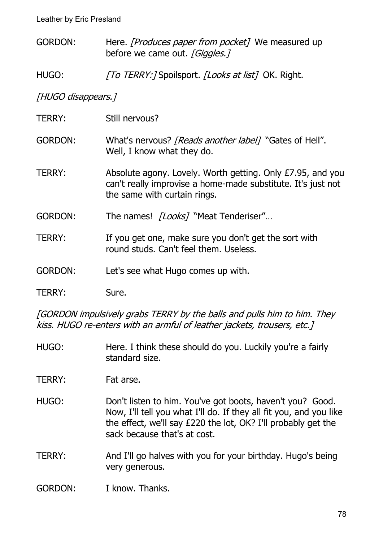- GORDON: Here. *[Produces paper from pocket]* We measured up before we came out. [Giggles.]
- HUGO: [To TERRY:] Spoilsport. [Looks at list] OK. Right.

[HUGO disappears.]

TERRY: Still nervous? GORDON: What's nervous? *[Reads another label]* "Gates of Hell". Well, I know what they do. TERRY: Absolute agony. Lovely. Worth getting. Only £7.95, and you can't really improvise a home-made substitute. It's just not the same with curtain rings. GORDON: The names! [Looks] "Meat Tenderiser"... TERRY: If you get one, make sure you don't get the sort with round studs. Can't feel them. Useless. GORDON: Let's see what Hugo comes up with. TERRY: Sure.

[GORDON impulsively grabs TERRY by the balls and pulls him to him. They kiss. HUGO re-enters with an armful of leather jackets, trousers, etc.]

HUGO: Here. I think these should do you. Luckily you're a fairly standard size.

TERRY: Fat arse.

- HUGO: Don't listen to him. You've got boots, haven't you? Good. Now, I'll tell you what I'll do. If they all fit you, and you like the effect, we'll say £220 the lot, OK? I'll probably get the sack because that's at cost.
- TERRY: And I'll go halves with you for your birthday. Hugo's being very generous.
- GORDON: I know. Thanks.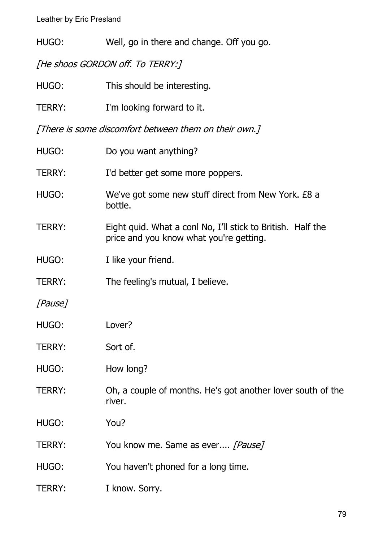HUGO: Well, go in there and change. Off you go.

[He shoos GORDON off. To TERRY:]

| This should be interesting.                                                                            |
|--------------------------------------------------------------------------------------------------------|
| I'm looking forward to it.                                                                             |
| [There is some discomfort between them on their own.]                                                  |
| Do you want anything?                                                                                  |
| I'd better get some more poppers.                                                                      |
| We've got some new stuff direct from New York. £8 a<br>bottle.                                         |
| Eight quid. What a conl No, I'll stick to British. Half the<br>price and you know what you're getting. |
| I like your friend.                                                                                    |
| The feeling's mutual, I believe.                                                                       |
|                                                                                                        |
| Lover?                                                                                                 |
| Sort of.                                                                                               |
| How long?                                                                                              |
| Oh, a couple of months. He's got another lover south of the<br>river.                                  |
| You?                                                                                                   |
| You know me. Same as ever [Pause]                                                                      |
| You haven't phoned for a long time.                                                                    |
| I know. Sorry.                                                                                         |
|                                                                                                        |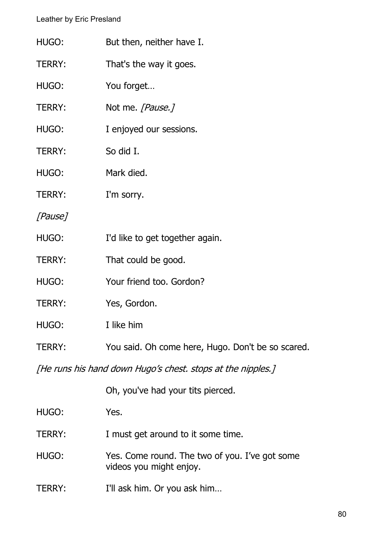| HUGO:         | But then, neither have I.                                                 |
|---------------|---------------------------------------------------------------------------|
| TERRY:        | That's the way it goes.                                                   |
| HUGO:         | You forget                                                                |
| TERRY:        | Not me. [Pause.]                                                          |
| HUGO:         | I enjoyed our sessions.                                                   |
| <b>TERRY:</b> | So did I.                                                                 |
| HUGO:         | Mark died.                                                                |
| <b>TERRY:</b> | I'm sorry.                                                                |
| [Pause]       |                                                                           |
| HUGO:         | I'd like to get together again.                                           |
| <b>TERRY:</b> | That could be good.                                                       |
| HUGO:         | Your friend too. Gordon?                                                  |
| <b>TERRY:</b> | Yes, Gordon.                                                              |
| HUGO:         | I like him                                                                |
| <b>TERRY:</b> | You said. Oh come here, Hugo. Don't be so scared.                         |
|               | [He runs his hand down Hugo's chest. stops at the nipples.]               |
|               | Oh, you've had your tits pierced.                                         |
| HUGO:         | Yes.                                                                      |
| <b>TERRY:</b> | I must get around to it some time.                                        |
| HUGO:         | Yes. Come round. The two of you. I've got some<br>videos you might enjoy. |
| <b>TERRY:</b> | I'll ask him. Or you ask him                                              |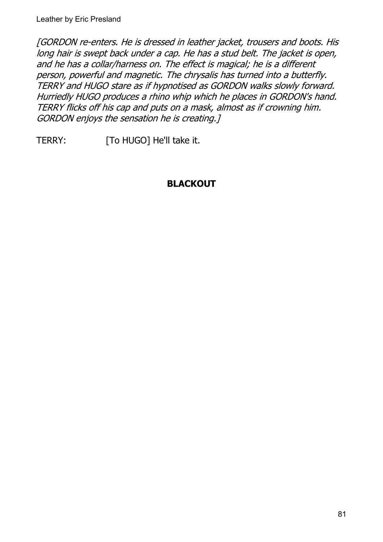[GORDON re-enters. He is dressed in leather jacket, trousers and boots. His long hair is swept back under a cap. He has a stud belt. The jacket is open, and he has a collar/harness on. The effect is magical; he is a different person, powerful and magnetic. The chrysalis has turned into a butterfly. TERRY and HUGO stare as if hypnotised as GORDON walks slowly forward. Hurriedly HUGO produces a rhino whip which he places in GORDON's hand. TERRY flicks off his cap and puts on a mask, almost as if crowning him. GORDON enjoys the sensation he is creating.]

TERRY: [To HUGO] He'll take it.

# **BLACKOUT**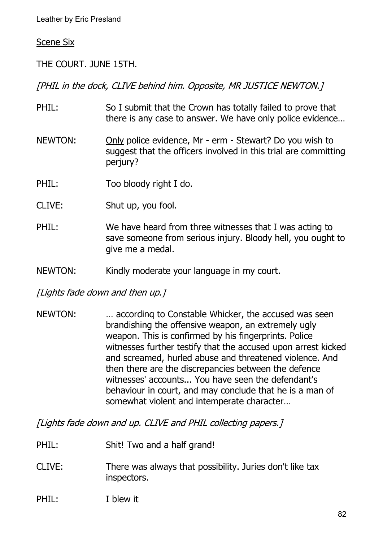#### Scene Six

THE COURT. JUNE 15TH.

[PHIL in the dock, CLIVE behind him. Opposite, MR JUSTICE NEWTON.]

- PHIL: So I submit that the Crown has totally failed to prove that there is any case to answer. We have only police evidence…
- NEWTON: Only police evidence, Mr erm Stewart? Do you wish to suggest that the officers involved in this trial are committing periury?
- PHIL: Too bloody right I do.
- CLIVE: Shut up, you fool.
- PHIL: We have heard from three witnesses that I was acting to save someone from serious injury. Bloody hell, you ought to give me a medal.
- NEWTON: Kindly moderate your language in my court.

[Lights fade down and then up.]

NEWTON: … accordinq to Constable Whicker, the accused was seen brandishing the offensive weapon, an extremely ugly weapon. This is confirmed by his fingerprints. Police witnesses further testify that the accused upon arrest kicked and screamed, hurled abuse and threatened violence. And then there are the discrepancies between the defence witnesses' accounts... You have seen the defendant's behaviour in court, and may conclude that he is a man of somewhat violent and intemperate character…

[Lights fade down and up. CLIVE and PHIL collecting papers.]

- PHIL: Shit! Two and a half grand!
- CLIVE: There was always that possibility. Juries don't like tax inspectors.

#### PHIL: I blew it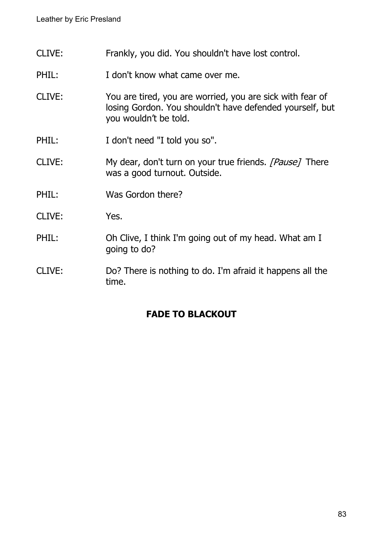- CLIVE: Frankly, you did. You shouldn't have lost control.
- PHIL: I don't know what came over me.
- CLIVE: You are tired, you are worried, you are sick with fear of losing Gordon. You shouldn't have defended yourself, but you wouldn't be told.
- PHIL: I don't need "I told you so".
- CLIVE: My dear, don't turn on your true friends. [Pause] There was a good turnout. Outside.
- PHIL: Was Gordon there?
- CLIVE: Yes.
- PHIL: Oh Clive, I think I'm going out of my head. What am I going to do?
- CLIVE: Do? There is nothing to do. I'm afraid it happens all the time.

### **FADE TO BLACKOUT**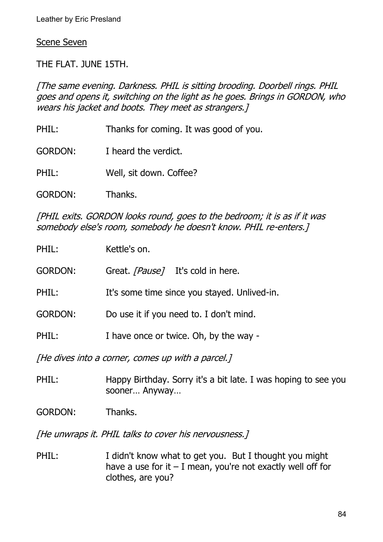Scene Seven

THE FLAT. JUNE 15TH.

[The same evening. Darkness. PHIL is sitting brooding. Doorbell rings. PHIL goes and opens it, switching on the light as he goes. Brings in GORDON, who wears his jacket and boots. They meet as strangers.]

- PHIL: Thanks for coming. It was good of you.
- GORDON: I heard the verdict.
- PHIL: Well, sit down. Coffee?
- GORDON: Thanks.

[PHIL exits. GORDON looks round, goes to the bedroom; it is as if it was somebody else's room, somebody he doesn't know. PHIL re-enters.]

| PHIL:          | Kettle's on.                                      |
|----------------|---------------------------------------------------|
| <b>GORDON:</b> | Great. [Pause] It's cold in here.                 |
| PHIL:          | It's some time since you stayed. Unlived-in.      |
| <b>GORDON:</b> | Do use it if you need to. I don't mind.           |
| PHIL:          | I have once or twice. Oh, by the way -            |
|                | [He dives into a corner, comes up with a parcel.] |

PHIL: Happy Birthday. Sorry it's a bit late. I was hoping to see you sooner… Anyway…

GORDON: Thanks.

[He unwraps it. PHIL talks to cover his nervousness.]

PHIL: I didn't know what to get you. But I thought you might have a use for it  $-1$  mean, you're not exactly well off for clothes, are you?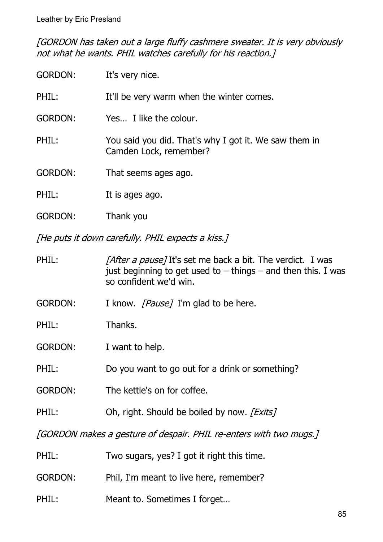[GORDON has taken out a large fluffy cashmere sweater. It is very obviously not what he wants. PHIL watches carefully for his reaction.]

| <b>GORDON:</b> | It's very nice.                                                                 |
|----------------|---------------------------------------------------------------------------------|
| PHIL:          | It'll be very warm when the winter comes.                                       |
| <b>GORDON:</b> | Yes I like the colour.                                                          |
| PHIL:          | You said you did. That's why I got it. We saw them in<br>Camden Lock, remember? |
| <b>GORDON:</b> | That seems ages ago.                                                            |
| PHIL:          | It is ages ago.                                                                 |
| <b>GORDON:</b> | Thank you                                                                       |

[He puts it down carefully. PHIL expects a kiss.]

PHIL: [After a pause] It's set me back a bit. The verdict. I was just beginning to get used to  $-$  things  $-$  and then this. I was so confident we'd win.

GORDON: I know. [Pause] I'm glad to be here.

PHIL: Thanks.

GORDON: I want to help.

PHIL: Do you want to go out for a drink or something?

GORDON: The kettle's on for coffee.

PHIL: Oh, right. Should be boiled by now. [Exits]

[GORDON makes a gesture of despair. PHIL re-enters with two mugs.]

| PHIL:   | Two sugars, yes? I got it right this time. |
|---------|--------------------------------------------|
| GORDON: | Phil, I'm meant to live here, remember?    |
| PHIL:   | Meant to. Sometimes I forget               |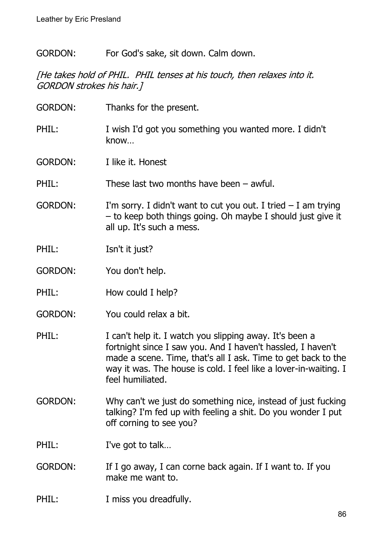GORDON: For God's sake, sit down. Calm down.

[He takes hold of PHIL. PHIL tenses at his touch, then relaxes into it. GORDON strokes his hair.]

| <b>GORDON:</b> | Thanks for the present.                                                                                                                                                                                                                                                         |
|----------------|---------------------------------------------------------------------------------------------------------------------------------------------------------------------------------------------------------------------------------------------------------------------------------|
| PHIL:          | I wish I'd got you something you wanted more. I didn't<br>know                                                                                                                                                                                                                  |
| <b>GORDON:</b> | I like it. Honest                                                                                                                                                                                                                                                               |
| PHIL:          | These last two months have been $-$ awful.                                                                                                                                                                                                                                      |
| <b>GORDON:</b> | I'm sorry. I didn't want to cut you out. I tried $-$ I am trying<br>- to keep both things going. Oh maybe I should just give it<br>all up. It's such a mess.                                                                                                                    |
| PHIL:          | Isn't it just?                                                                                                                                                                                                                                                                  |
| <b>GORDON:</b> | You don't help.                                                                                                                                                                                                                                                                 |
| PHIL:          | How could I help?                                                                                                                                                                                                                                                               |
| <b>GORDON:</b> | You could relax a bit.                                                                                                                                                                                                                                                          |
| PHIL:          | I can't help it. I watch you slipping away. It's been a<br>fortnight since I saw you. And I haven't hassled, I haven't<br>made a scene. Time, that's all I ask. Time to get back to the<br>way it was. The house is cold. I feel like a lover-in-waiting. I<br>feel humiliated. |
| <b>GORDON:</b> | Why can't we just do something nice, instead of just fucking<br>talking? I'm fed up with feeling a shit. Do you wonder I put<br>off corning to see you?                                                                                                                         |
| PHIL:          | I've got to talk                                                                                                                                                                                                                                                                |
| <b>GORDON:</b> | If I go away, I can corne back again. If I want to. If you<br>make me want to.                                                                                                                                                                                                  |

# PHIL: I miss you dreadfully.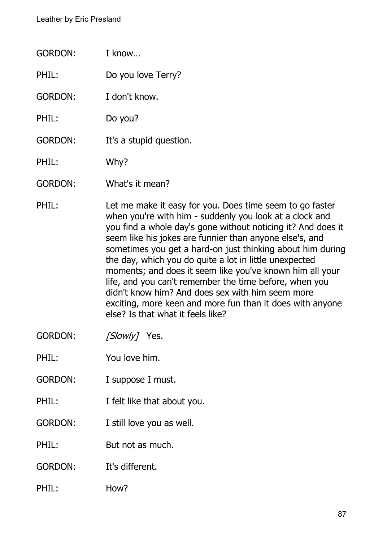| <b>GORDON:</b> | I know                                                                                                                                                                                                                                                                                                       |
|----------------|--------------------------------------------------------------------------------------------------------------------------------------------------------------------------------------------------------------------------------------------------------------------------------------------------------------|
| PHIL:          | Do you love Terry?                                                                                                                                                                                                                                                                                           |
| <b>GORDON:</b> | I don't know.                                                                                                                                                                                                                                                                                                |
| PHIL:          | Do you?                                                                                                                                                                                                                                                                                                      |
| <b>GORDON:</b> | It's a stupid question.                                                                                                                                                                                                                                                                                      |
| PHIL:          | Why?                                                                                                                                                                                                                                                                                                         |
| <b>GORDON:</b> | What's it mean?                                                                                                                                                                                                                                                                                              |
| PHIL:          | Let me make it easy for you. Does time seem to go faster<br>when you're with him - suddenly you look at a clock and<br>you find a whole day's gone without noticing it? And does it<br>seem like his jokes are funnier than anyone else's, and<br>sometimes you get a hard-on just thinking about him during |

es you get a hard-on just thinking about him during the day, which you do quite a lot in little unexpected moments; and does it seem like you've known him all your life, and you can't remember the time before, when you didn't know him? And does sex with him seem more exciting, more keen and more fun than it does with anyone else? Is that what it feels like?

GORDON: [Slowly] Yes.

PHIL: You love him.

- GORDON: I suppose I must.
- PHIL: I felt like that about you.
- GORDON: I still love you as well.

PHIL: But not as much.

GORDON: It's different.

PHIL: How?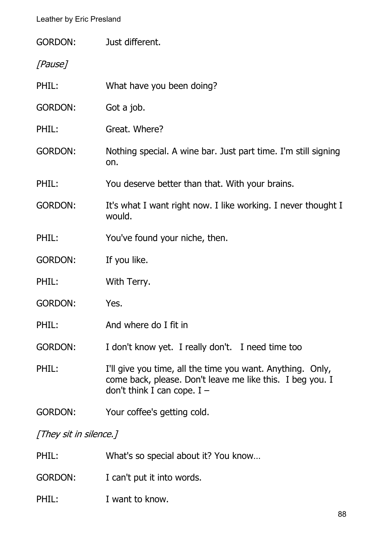| <b>GORDON:</b> | Just different.                                                                                                                                          |
|----------------|----------------------------------------------------------------------------------------------------------------------------------------------------------|
| [Pause]        |                                                                                                                                                          |
| PHIL:          | What have you been doing?                                                                                                                                |
| <b>GORDON:</b> | Got a job.                                                                                                                                               |
| PHIL:          | Great. Where?                                                                                                                                            |
| <b>GORDON:</b> | Nothing special. A wine bar. Just part time. I'm still signing<br>on.                                                                                    |
| PHIL:          | You deserve better than that. With your brains.                                                                                                          |
| <b>GORDON:</b> | It's what I want right now. I like working. I never thought I<br>would.                                                                                  |
| PHIL:          | You've found your niche, then.                                                                                                                           |
|                |                                                                                                                                                          |
| <b>GORDON:</b> | If you like.                                                                                                                                             |
| PHIL:          | With Terry.                                                                                                                                              |
| <b>GORDON:</b> | Yes.                                                                                                                                                     |
| PHIL:          | And where do I fit in                                                                                                                                    |
| <b>GORDON:</b> | I don't know yet. I really don't. I need time too                                                                                                        |
| PHIL:          | I'll give you time, all the time you want. Anything. Only,<br>come back, please. Don't leave me like this. I beg you. I<br>don't think I can cope. $I -$ |

[They sit in silence.]

| PHIL:          | What's so special about it? You know |
|----------------|--------------------------------------|
| <b>GORDON:</b> | I can't put it into words.           |
| PHIL:          | I want to know.                      |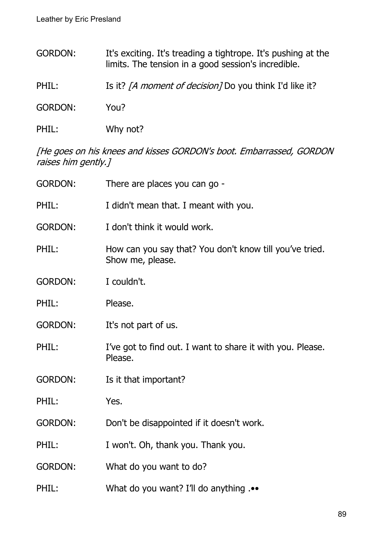| <b>GORDON:</b> | It's exciting. It's treading a tightrope. It's pushing at the<br>limits. The tension in a good session's incredible. |
|----------------|----------------------------------------------------------------------------------------------------------------------|
| PHIL:          | Is it? <i>[A moment of decision]</i> Do you think I'd like it?                                                       |
| <b>GORDON:</b> | You?                                                                                                                 |

PHIL: Why not?

[He goes on his knees and kisses GORDON's boot. Embarrassed, GORDON raises him gently.]

| <b>GORDON:</b> | There are places you can go -                                               |
|----------------|-----------------------------------------------------------------------------|
| PHIL:          | I didn't mean that. I meant with you.                                       |
| <b>GORDON:</b> | I don't think it would work.                                                |
| PHIL:          | How can you say that? You don't know till you've tried.<br>Show me, please. |
| <b>GORDON:</b> | I couldn't.                                                                 |
| PHIL:          | Please.                                                                     |
| <b>GORDON:</b> | It's not part of us.                                                        |
| PHIL:          | I've got to find out. I want to share it with you. Please.<br>Please.       |
| <b>GORDON:</b> | Is it that important?                                                       |
| PHIL:          | Yes.                                                                        |
| <b>GORDON:</b> | Don't be disappointed if it doesn't work.                                   |
| PHIL:          | I won't. Oh, thank you. Thank you.                                          |
| <b>GORDON:</b> | What do you want to do?                                                     |
| PHIL:          | What do you want? I'll do anything                                          |
|                |                                                                             |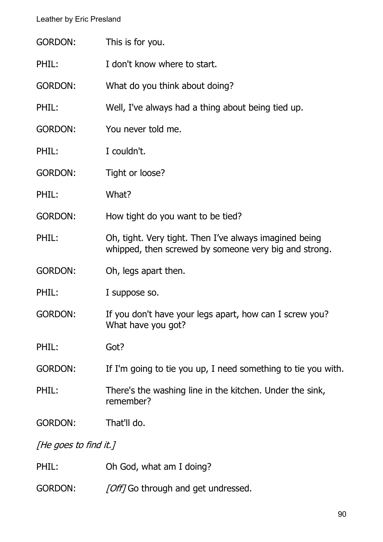| <b>GORDON:</b> | This is for you.                                                                                                |
|----------------|-----------------------------------------------------------------------------------------------------------------|
| PHIL:          | I don't know where to start.                                                                                    |
| <b>GORDON:</b> | What do you think about doing?                                                                                  |
| PHIL:          | Well, I've always had a thing about being tied up.                                                              |
| <b>GORDON:</b> | You never told me.                                                                                              |
| PHIL:          | I couldn't.                                                                                                     |
| <b>GORDON:</b> | Tight or loose?                                                                                                 |
| PHIL:          | What?                                                                                                           |
| <b>GORDON:</b> | How tight do you want to be tied?                                                                               |
| PHIL:          | Oh, tight. Very tight. Then I've always imagined being<br>whipped, then screwed by someone very big and strong. |
| <b>GORDON:</b> | Oh, legs apart then.                                                                                            |
| PHIL:          | I suppose so.                                                                                                   |
| <b>GORDON:</b> | If you don't have your legs apart, how can I screw you?<br>What have you got?                                   |
| PHIL:          | Got?                                                                                                            |
| <b>GORDON:</b> | If I'm going to tie you up, I need something to tie you with.                                                   |
| PHIL:          | There's the washing line in the kitchen. Under the sink,<br>remember?                                           |
| <b>GORDON:</b> | That'll do.                                                                                                     |
|                |                                                                                                                 |

[He goes to find it.]

- PHIL: Oh God, what am I doing?
- GORDON: [Off] Go through and get undressed.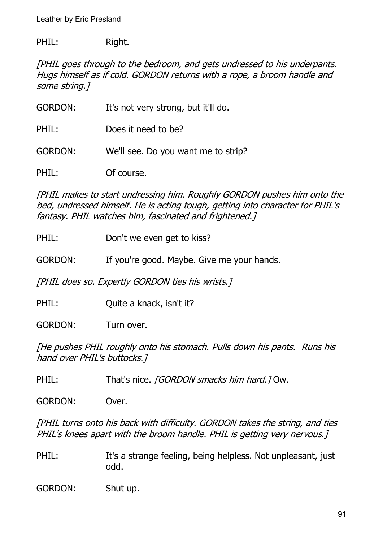PHIL: Right.

[PHIL goes through to the bedroom, and gets undressed to his underpants. Hugs himself as if cold. GORDON returns with a rope, a broom handle and some string.]

GORDON: It's not very strong, but it'll do.

PHIL: Does it need to be?

GORDON: We'll see. Do you want me to strip?

PHIL: Of course.

[PHIL makes to start undressing him. Roughly GORDON pushes him onto the bed, undressed himself. He is acting tough, getting into character for PHIL's fantasy. PHIL watches him, fascinated and frightened.]

- PHIL: Don't we even get to kiss?
- GORDON: If you're good. Maybe. Give me your hands.

[PHIL does so. Expertly GORDON ties his wrists.]

PHIL: Quite a knack, isn't it?

GORDON: Turn over.

[He pushes PHIL roughly onto his stomach. Pulls down his pants. Runs his hand over PHIL's buttocks.]

PHIL: That's nice. *[GORDON smacks him hard.]* Ow.

GORDON: Over.

[PHIL turns onto his back with difficulty. GORDON takes the string, and ties PHIL's knees apart with the broom handle. PHIL is getting very nervous.]

PHIL: It's a strange feeling, being helpless. Not unpleasant, just odd.

GORDON: Shut up.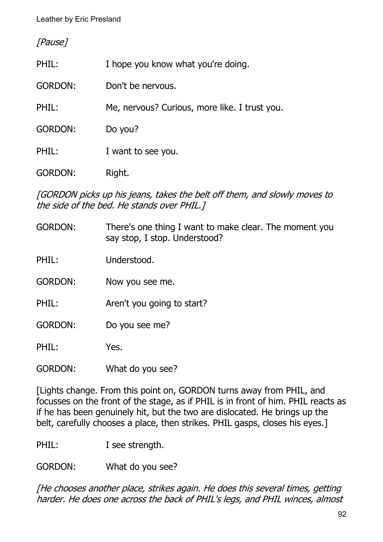[Pause]

| PHIL:          | I hope you know what you're doing.            |
|----------------|-----------------------------------------------|
| <b>GORDON:</b> | Don't be nervous.                             |
| PHIL:          | Me, nervous? Curious, more like. I trust you. |
| <b>GORDON:</b> | Do you?                                       |
| PHIL:          | I want to see you.                            |
| GORDON:        | Right.                                        |

[GORDON picks up his jeans, takes the belt off them, and slowly moves to the side of the bed. He stands over PHIL.]

- GORDON: There's one thing I want to make clear. The moment you say stop, I stop. Understood?
- PHIL: Understood.
- GORDON: Now you see me.
- PHIL: Aren't you going to start?
- GORDON: Do you see me?

PHIL: Yes.

GORDON: What do you see?

[Lights change. From this point on, GORDON turns away from PHIL, and focusses on the front of the stage, as if PHIL is in front of him. PHIL reacts as if he has been genuinely hit, but the two are dislocated. He brings up the belt, carefully chooses a place, then strikes. PHIL gasps, closes his eyes.]

PHIL: I see strength.

GORDON: What do you see?

[He chooses another place, strikes again. He does this several times, getting harder. He does one across the back of PHIL's legs, and PHIL winces, almost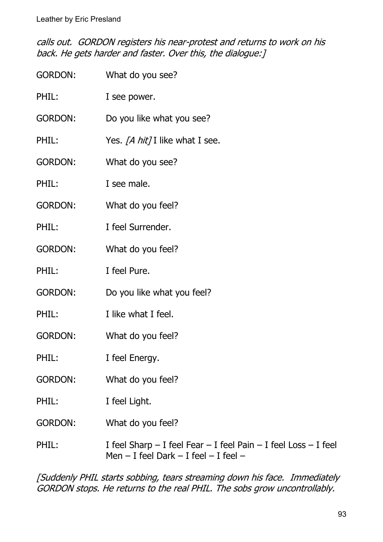calls out. GORDON registers his near-protest and returns to work on his back. He gets harder and faster. Over this, the dialogue:]

| <b>GORDON:</b> | What do you see?                                                                                                         |
|----------------|--------------------------------------------------------------------------------------------------------------------------|
| PHIL:          | I see power.                                                                                                             |
| <b>GORDON:</b> | Do you like what you see?                                                                                                |
| PHIL:          | Yes. [A hit] I like what I see.                                                                                          |
| <b>GORDON:</b> | What do you see?                                                                                                         |
| PHIL:          | I see male.                                                                                                              |
| <b>GORDON:</b> | What do you feel?                                                                                                        |
| PHIL:          | I feel Surrender.                                                                                                        |
| <b>GORDON:</b> | What do you feel?                                                                                                        |
| PHIL:          | I feel Pure.                                                                                                             |
| <b>GORDON:</b> | Do you like what you feel?                                                                                               |
| PHIL:          | I like what I feel.                                                                                                      |
| <b>GORDON:</b> | What do you feel?                                                                                                        |
| PHIL:          | I feel Energy.                                                                                                           |
| <b>GORDON:</b> | What do you feel?                                                                                                        |
| PHIL:          | I feel Light.                                                                                                            |
| <b>GORDON:</b> | What do you feel?                                                                                                        |
| PHIL:          | I feel Sharp $-$ I feel Fear $-$ I feel Pain $-$ I feel Loss $-$ I feel<br>Men $-$ I feel Dark $-$ I feel $-$ I feel $-$ |

[Suddenly PHIL starts sobbing, tears streaming down his face. Immediately GORDON stops. He returns to the real PHIL. The sobs grow uncontrollably.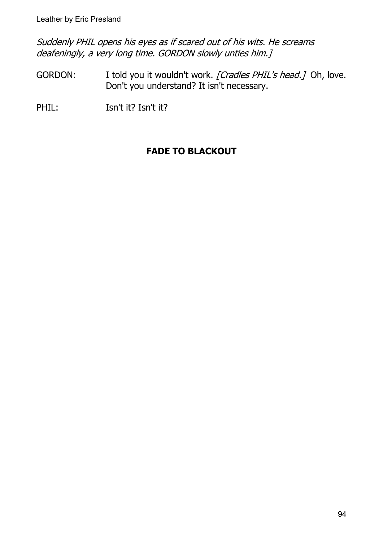Suddenly PHIL opens his eyes as if scared out of his wits. He screams deafeningly, a very long time. GORDON slowly unties him.]

GORDON: I told you it wouldn't work. [Cradles PHIL's head.] Oh, love. Don't you understand? It isn't necessary.

PHIL: Isn't it? Isn't it?

# **FADE TO BLACKOUT**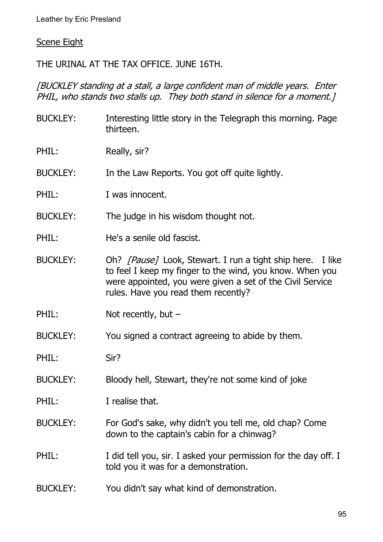#### Scene Eight

### THE URINAL AT THE TAX OFFICE. JUNE 16TH.

[BUCKLEY standing at a stall, a large confident man of middle years. Enter PHIL, who stands two stalls up. They both stand in silence for a moment.1

BUCKLEY: Interesting little story in the Telegraph this morning. Page thirteen. PHIL: Really, sir? BUCKLEY: In the Law Reports. You got off quite lightly. PHIL: I was innocent. BUCKLEY: The judge in his wisdom thought not. PHIL: He's a senile old fascist. BUCKLEY: Oh? [Pause] Look, Stewart. I run a tight ship here. I like to feel I keep my finger to the wind, you know. When you were appointed, you were given a set of the Civil Service rules. Have you read them recently? PHIL: Not recently, but – BUCKLEY: You signed a contract agreeing to abide by them. PHIL: Sir? BUCKLEY: Bloody hell, Stewart, they're not some kind of joke PHIL: **I** realise that. BUCKLEY: For God's sake, why didn't you tell me, old chap? Come down to the captain's cabin for a chinwag? PHIL: I did tell you, sir. I asked your permission for the day off. I told you it was for a demonstration. BUCKLEY: You didn't say what kind of demonstration.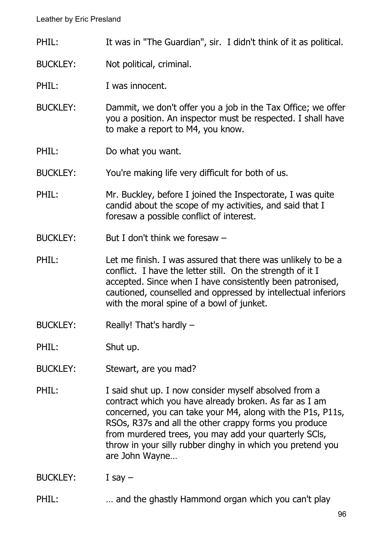- PHIL: It was in "The Guardian", sir. I didn't think of it as political.
- BUCKLEY: Not political, criminal.
- PHIL: I was innocent.
- BUCKLEY: Dammit, we don't offer you a job in the Tax Office; we offer you a position. An inspector must be respected. I shall have to make a report to M4, you know.
- PHIL: Do what you want.

BUCKLEY: You're making life very difficult for both of us.

PHIL: Mr. Buckley, before I joined the Inspectorate, I was quite candid about the scope of my activities, and said that I foresaw a possible conflict of interest.

- BUCKLEY: But I don't think we foresaw –
- PHIL: Let me finish. I was assured that there was unlikely to be a conflict. I have the letter still. On the strength of it I accepted. Since when I have consistently been patronised, cautioned, counselled and oppressed by intellectual inferiors with the moral spine of a bowl of junket.
- BUCKLEY: Really! That's hardly –

PHIL: Shut up.

- BUCKLEY: Stewart, are you mad?
- PHIL: I said shut up. I now consider myself absolved from a contract which you have already broken. As far as I am concerned, you can take your M4, along with the P1s, P11s, RSOs, R37s and all the other crappy forms you produce from murdered trees, you may add your quarterly SCls, throw in your silly rubber dinghy in which you pretend you are John Wayne…

BUCKLEY: I say –

PHIL: ... and the ghastly Hammond organ which you can't play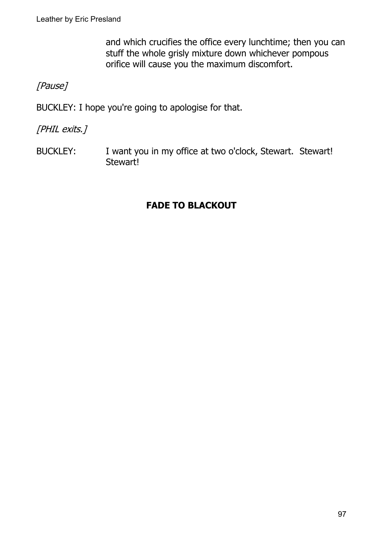and which crucifies the office every lunchtime; then you can stuff the whole grisly mixture down whichever pompous orifice will cause you the maximum discomfort.

# [Pause]

BUCKLEY: I hope you're going to apologise for that.

[PHIL exits.]

BUCKLEY: I want you in my office at two o'clock, Stewart. Stewart! Stewart!

# **FADE TO BLACKOUT**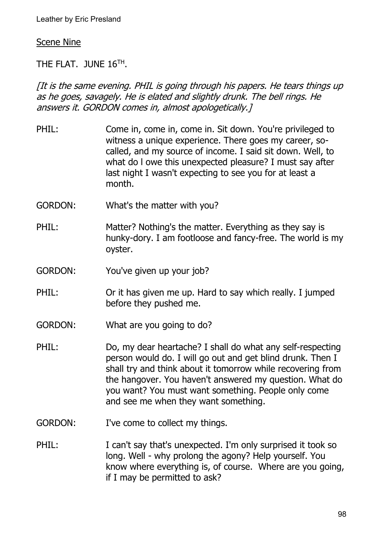#### Scene Nine

THE FLAT. JUNE  $16^{TH}$ .

[It is the same evening. PHIL is going through his papers. He tears things up as he goes, savagely. He is elated and slightly drunk. The bell rings. He answers it. GORDON comes in, almost apologetically.]

- PHIL: Come in, come in, come in. Sit down. You're privileged to witness a unique experience. There goes my career, socalled, and my source of income. I said sit down. Well, to what do l owe this unexpected pleasure? I must say after last night I wasn't expecting to see you for at least a month.
- GORDON: What's the matter with you?
- PHIL: Matter? Nothing's the matter. Everything as they say is hunky-dory. I am footloose and fancy-free. The world is my oyster.
- GORDON: You've given up your job?
- PHIL: Or it has given me up. Hard to say which really. I jumped before they pushed me.
- GORDON: What are you going to do?
- PHIL: Do, my dear heartache? I shall do what any self-respecting person would do. I will go out and get blind drunk. Then I shall try and think about it tomorrow while recovering from the hangover. You haven't answered my question. What do you want? You must want something. People only come and see me when they want something.
- GORDON: I've come to collect my things.
- PHIL: I can't say that's unexpected. I'm only surprised it took so long. Well - why prolong the agony? Help yourself. You know where everything is, of course. Where are you going, if I may be permitted to ask?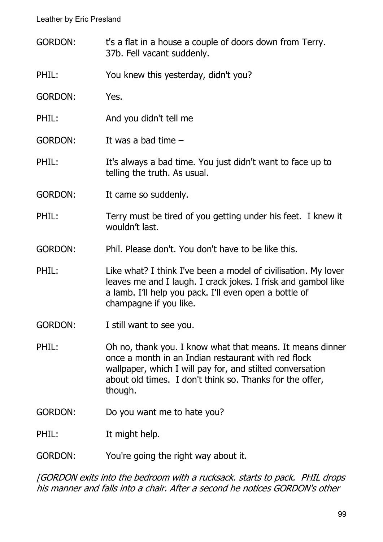- GORDON: t's a flat in a house a couple of doors down from Terry. 37b. Fell vacant suddenly.
- PHIL: You knew this yesterday, didn't you?
- GORDON: Yes.
- PHIL: And you didn't tell me
- GORDON: It was a bad time –
- PHIL: It's always a bad time. You just didn't want to face up to telling the truth. As usual.
- GORDON: It came so suddenly.
- PHIL: Terry must be tired of you getting under his feet. I knew it wouldn't last.
- GORDON: Phil. Please don't. You don't have to be like this.
- PHIL: Like what? I think I've been a model of civilisation. My lover leaves me and I laugh. I crack jokes. I frisk and gambol like a lamb. I'll help you pack. I'll even open a bottle of champagne if you like.
- GORDON: I still want to see you.
- PHIL: Oh no, thank you. I know what that means. It means dinner once a month in an Indian restaurant with red flock wallpaper, which I will pay for, and stilted conversation about old times. I don't think so. Thanks for the offer, though.
- GORDON: Do you want me to hate you?

PHIL: It might help.

GORDON: You're going the right way about it.

[GORDON exits into the bedroom with a rucksack. starts to pack. PHIL drops his manner and falls into a chair. After a second he notices GORDON's other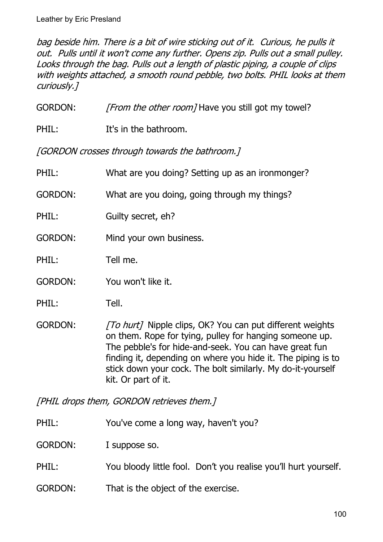bag beside him. There is a bit of wire sticking out of it. Curious, he pulls it out. Pulls until it won't come any further. Opens zip. Pulls out a small pulley. Looks through the bag. Pulls out a length of plastic piping, a couple of clips with weights attached, a smooth round pebble, two bolts. PHIL looks at them curiously.]

GORDON: [From the other room] Have you still got my towel?

PHIL: It's in the bathroom.

[GORDON crosses through towards the bathroom.]

| PHIL:          | What are you doing? Setting up as an ironmonger?                                                                                                                                                                                                                                                                                     |
|----------------|--------------------------------------------------------------------------------------------------------------------------------------------------------------------------------------------------------------------------------------------------------------------------------------------------------------------------------------|
| <b>GORDON:</b> | What are you doing, going through my things?                                                                                                                                                                                                                                                                                         |
| PHIL:          | Guilty secret, eh?                                                                                                                                                                                                                                                                                                                   |
| <b>GORDON:</b> | Mind your own business.                                                                                                                                                                                                                                                                                                              |
| PHIL:          | Tell me.                                                                                                                                                                                                                                                                                                                             |
| <b>GORDON:</b> | You won't like it.                                                                                                                                                                                                                                                                                                                   |
| PHIL:          | Tell.                                                                                                                                                                                                                                                                                                                                |
| <b>GORDON:</b> | [To hurt] Nipple clips, OK? You can put different weights<br>on them. Rope for tying, pulley for hanging someone up.<br>The pebble's for hide-and-seek. You can have great fun<br>finding it, depending on where you hide it. The piping is to<br>stick down your cock. The bolt similarly. My do-it-yourself<br>kit. Or part of it. |

[PHIL drops them, GORDON retrieves them.]

PHIL: You've come a long way, haven't you?

GORDON: I suppose so.

- PHIL: You bloody little fool. Don't you realise you'll hurt yourself.
- GORDON: That is the object of the exercise.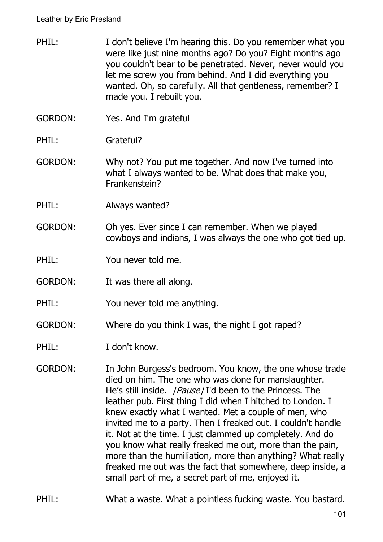- PHIL: I don't believe I'm hearing this. Do you remember what you were like just nine months ago? Do you? Eight months ago you couldn't bear to be penetrated. Never, never would you let me screw you from behind. And I did everything you wanted. Oh, so carefully. All that gentleness, remember? I made you. I rebuilt you.
- GORDON: Yes. And I'm grateful
- PHIL: Grateful?
- GORDON: Why not? You put me together. And now I've turned into what I always wanted to be. What does that make you, Frankenstein?
- PHIL: Always wanted?
- GORDON: Oh yes. Ever since I can remember. When we played cowboys and indians, I was always the one who got tied up.
- PHIL: You never told me.
- GORDON: It was there all along.
- PHIL: You never told me anything.
- GORDON: Where do you think I was, the night I got raped?
- PHIL: I don't know.
- GORDON: In John Burgess's bedroom. You know, the one whose trade died on him. The one who was done for manslaughter. He's still inside. *[Pause]* I'd been to the Princess. The leather pub. First thing I did when I hitched to London. I knew exactly what I wanted. Met a couple of men, who invited me to a party. Then I freaked out. I couldn't handle it. Not at the time. I just clammed up completely. And do you know what really freaked me out, more than the pain, more than the humiliation, more than anything? What really freaked me out was the fact that somewhere, deep inside, a small part of me, a secret part of me, enjoyed it.
- PHIL: What a waste. What a pointless fucking waste. You bastard.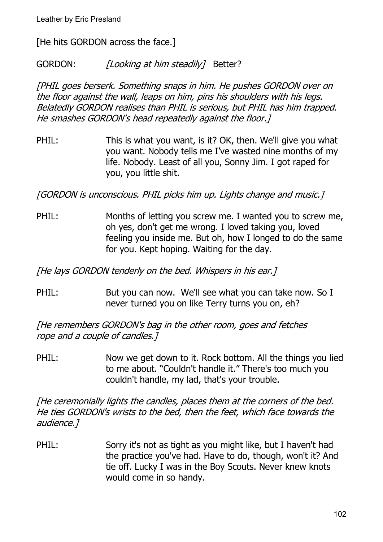[He hits GORDON across the face.]

GORDON: [Looking at him steadily] Better?

[PHIL goes berserk. Something snaps in him. He pushes GORDON over on the floor against the wall, leaps on him, pins his shoulders with his legs. Belatedly GORDON realises than PHIL is serious, but PHIL has him trapped. He smashes GORDON's head repeatedly against the floor.]

PHIL: This is what you want, is it? OK, then. We'll give you what you want. Nobody tells me I've wasted nine months of my life. Nobody. Least of all you, Sonny Jim. I got raped for you, you little shit.

[GORDON is unconscious. PHIL picks him up. Lights change and music.]

PHIL: Months of letting you screw me. I wanted you to screw me, oh yes, don't get me wrong. I loved taking you, loved feeling you inside me. But oh, how I longed to do the same for you. Kept hoping. Waiting for the day.

[He lays GORDON tenderly on the bed. Whispers in his ear.]

PHIL: But you can now. We'll see what you can take now. So I never turned you on like Terry turns you on, eh?

[He remembers GORDON's bag in the other room, goes and fetches rope and a couple of candles.]

PHIL: Now we get down to it. Rock bottom. All the things you lied to me about. "Couldn't handle it." There's too much you couldn't handle, my lad, that's your trouble.

[He ceremonially lights the candles, places them at the corners of the bed. He ties GORDON's wrists to the bed, then the feet, which face towards the audience.]

PHIL: Sorry it's not as tight as you might like, but I haven't had the practice you've had. Have to do, though, won't it? And tie off. Lucky I was in the Boy Scouts. Never knew knots would come in so handy.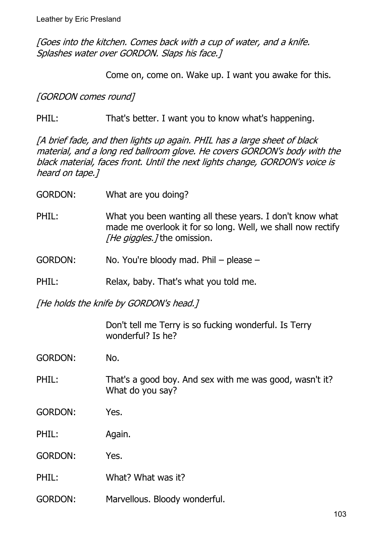[Goes into the kitchen. Comes back with a cup of water, and a knife. Splashes water over GORDON. Slaps his face.]

Come on, come on. Wake up. I want you awake for this.

[GORDON comes round]

PHIL: That's better. I want you to know what's happening.

[A brief fade, and then lights up again. PHIL has a large sheet of black material, and a long red ballroom glove. He covers GORDON's body with the black material, faces front. Until the next lights change, GORDON's voice is heard on tape.]

| <b>GORDON:</b> | What are you doing? |  |
|----------------|---------------------|--|
|                |                     |  |

- PHIL: What you been wanting all these years. I don't know what made me overlook it for so long. Well, we shall now rectify [He giggles.] the omission.
- GORDON: No. You're bloody mad. Phil please –
- PHIL: Relax, baby. That's what you told me.

[He holds the knife by GORDON's head.]

Don't tell me Terry is so fucking wonderful. Is Terry wonderful? Is he?

- GORDON: No.
- PHIL: That's a good boy. And sex with me was good, wasn't it? What do you say?
- GORDON: Yes.

PHIL: Again.

GORDON: Yes.

PHIL: What? What was it?

GORDON: Marvellous. Bloody wonderful.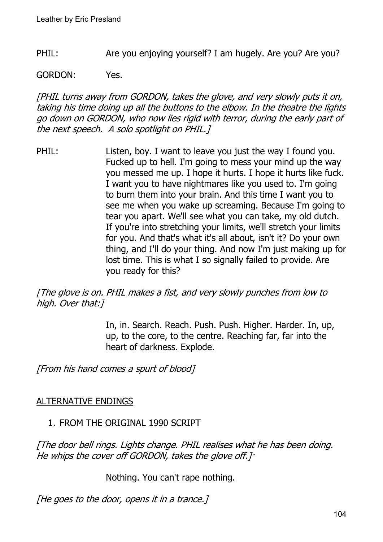PHIL: Are you enjoying yourself? I am hugely. Are you? Are you?

GORDON: Yes.

[PHIL turns away from GORDON, takes the glove, and very slowly puts it on, taking his time doing up all the buttons to the elbow. In the theatre the lights go down on GORDON, who now lies rigid with terror, during the early part of the next speech. A solo spotlight on PHIL.]

PHIL: Listen, boy. I want to leave you just the way I found you. Fucked up to hell. I'm going to mess your mind up the way you messed me up. I hope it hurts. I hope it hurts like fuck. I want you to have nightmares like you used to. I'm going to burn them into your brain. And this time I want you to see me when you wake up screaming. Because I'm going to tear you apart. We'll see what you can take, my old dutch. If you're into stretching your limits, we'll stretch your limits for you. And that's what it's all about, isn't it? Do your own thing, and I'll do your thing. And now I'm just making up for lost time. This is what I so signally failed to provide. Are you ready for this?

[The glove is on. PHIL makes a fist, and very slowly punches from low to high. Over that:]

> In, in. Search. Reach. Push. Push. Higher. Harder. In, up, up, to the core, to the centre. Reaching far, far into the heart of darkness. Explode.

[From his hand comes a spurt of blood]

# ALTERNATIVE ENDINGS

# 1. FROM THE ORIGINAL 1990 SCRIPT

[The door bell rings. Lights change. PHIL realises what he has been doing. He whips the cover off GORDON, takes the glove off.]·

Nothing. You can't rape nothing.

[He goes to the door, opens it in a trance.]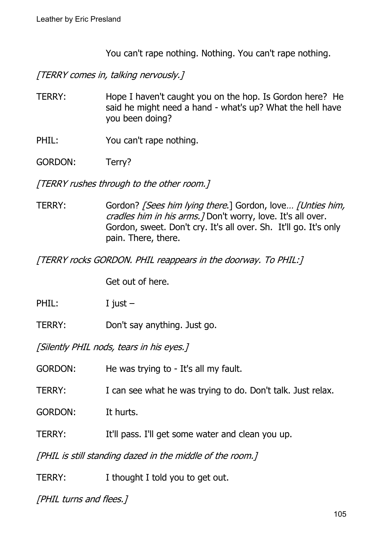You can't rape nothing. Nothing. You can't rape nothing.

[TERRY comes in, talking nervously.]

- TERRY: Hope I haven't caught you on the hop. Is Gordon here? He said he might need a hand - what's up? What the hell have you been doing?
- PHIL: You can't rape nothing.
- GORDON: Terry?

[TERRY rushes through to the other room.]

TERRY: Gordon? [Sees him lying there.] Gordon, love... [Unties him, cradles him in his arms. *[* Don't worry, love. It's all over. Gordon, sweet. Don't cry. It's all over. Sh. It'll go. It's only pain. There, there.

[TERRY rocks GORDON. PHIL reappears in the doorway. To PHIL:]

Get out of here.

PHIL: I just –

TERRY: Don't say anything. Just go.

[Silently PHIL nods, tears in his eyes.]

GORDON: He was trying to - It's all my fault.

TERRY: I can see what he was trying to do. Don't talk. Just relax.

GORDON: It hurts.

TERRY: It'll pass. I'll get some water and clean you up.

[PHIL is still standing dazed in the middle of the room.]

TERRY: I thought I told you to get out.

[PHIL turns and flees.]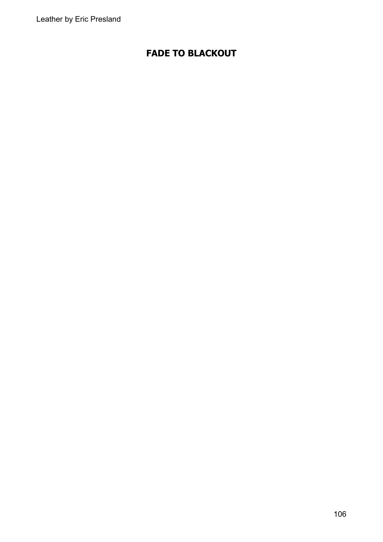### **FADE TO BLACKOUT**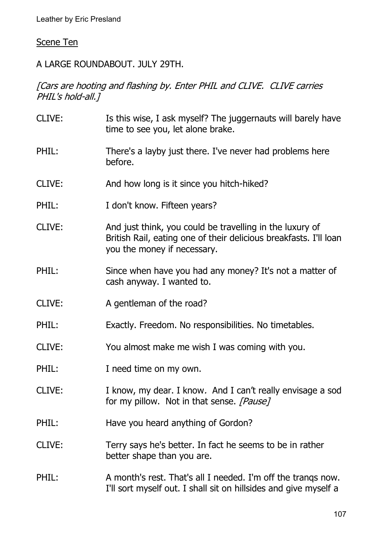# Scene Ten

### A LARGE ROUNDABOUT. JULY 29TH.

### [Cars are hooting and flashing by. Enter PHIL and CLIVE. CLIVE carries PHIL's hold-all.]

| CLIVE: | Is this wise, I ask myself? The juggernauts will barely have<br>time to see you, let alone brake.                                                            |
|--------|--------------------------------------------------------------------------------------------------------------------------------------------------------------|
| PHIL:  | There's a layby just there. I've never had problems here<br>before.                                                                                          |
| CLIVE: | And how long is it since you hitch-hiked?                                                                                                                    |
| PHIL:  | I don't know. Fifteen years?                                                                                                                                 |
| CLIVE: | And just think, you could be travelling in the luxury of<br>British Rail, eating one of their delicious breakfasts. I'll loan<br>you the money if necessary. |
| PHIL:  | Since when have you had any money? It's not a matter of<br>cash anyway. I wanted to.                                                                         |
| CLIVE: | A gentleman of the road?                                                                                                                                     |
| PHIL:  | Exactly. Freedom. No responsibilities. No timetables.                                                                                                        |
| CLIVE: | You almost make me wish I was coming with you.                                                                                                               |
| PHIL:  | I need time on my own.                                                                                                                                       |
| CLIVE: | I know, my dear. I know. And I can't really envisage a sod<br>for my pillow. Not in that sense. [Pause]                                                      |
| PHIL:  | Have you heard anything of Gordon?                                                                                                                           |
| CLIVE: | Terry says he's better. In fact he seems to be in rather<br>better shape than you are.                                                                       |
| PHIL:  | A month's rest. That's all I needed. I'm off the trangs now.<br>I'll sort myself out. I shall sit on hillsides and give myself a                             |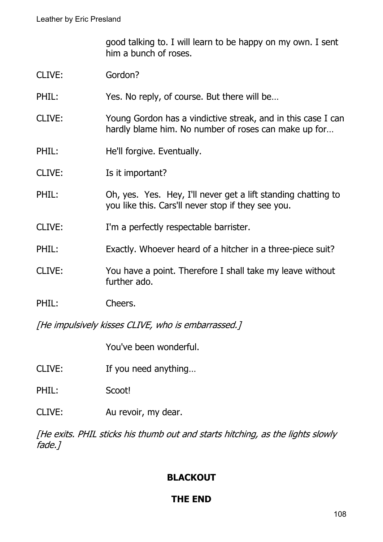good talking to. I will learn to be happy on my own. I sent him a bunch of roses.

- CLIVE: Gordon?
- PHIL: Yes. No reply, of course. But there will be...
- CLIVE: Young Gordon has a vindictive streak, and in this case I can hardly blame him. No number of roses can make up for…
- PHIL: He'll forgive. Eventually.
- CLIVE: Is it important?
- PHIL: Oh, yes. Yes. Hey, I'll never get a lift standing chatting to you like this. Cars'll never stop if they see you.
- CLIVE: I'm a perfectly respectable barrister.
- PHIL: Exactly. Whoever heard of a hitcher in a three-piece suit?
- CLIVE: You have a point. Therefore I shall take my leave without further ado.
- PHIL: Cheers.

[He impulsively kisses CLIVE, who is embarrassed.]

You've been wonderful.

- CLIVE: If you need anything…
- PHIL: Scoot!
- CLIVE: Au revoir, my dear.

[He exits. PHIL sticks his thumb out and starts hitching, as the lights slowly fade.]

### **BLACKOUT**

# **THE END**